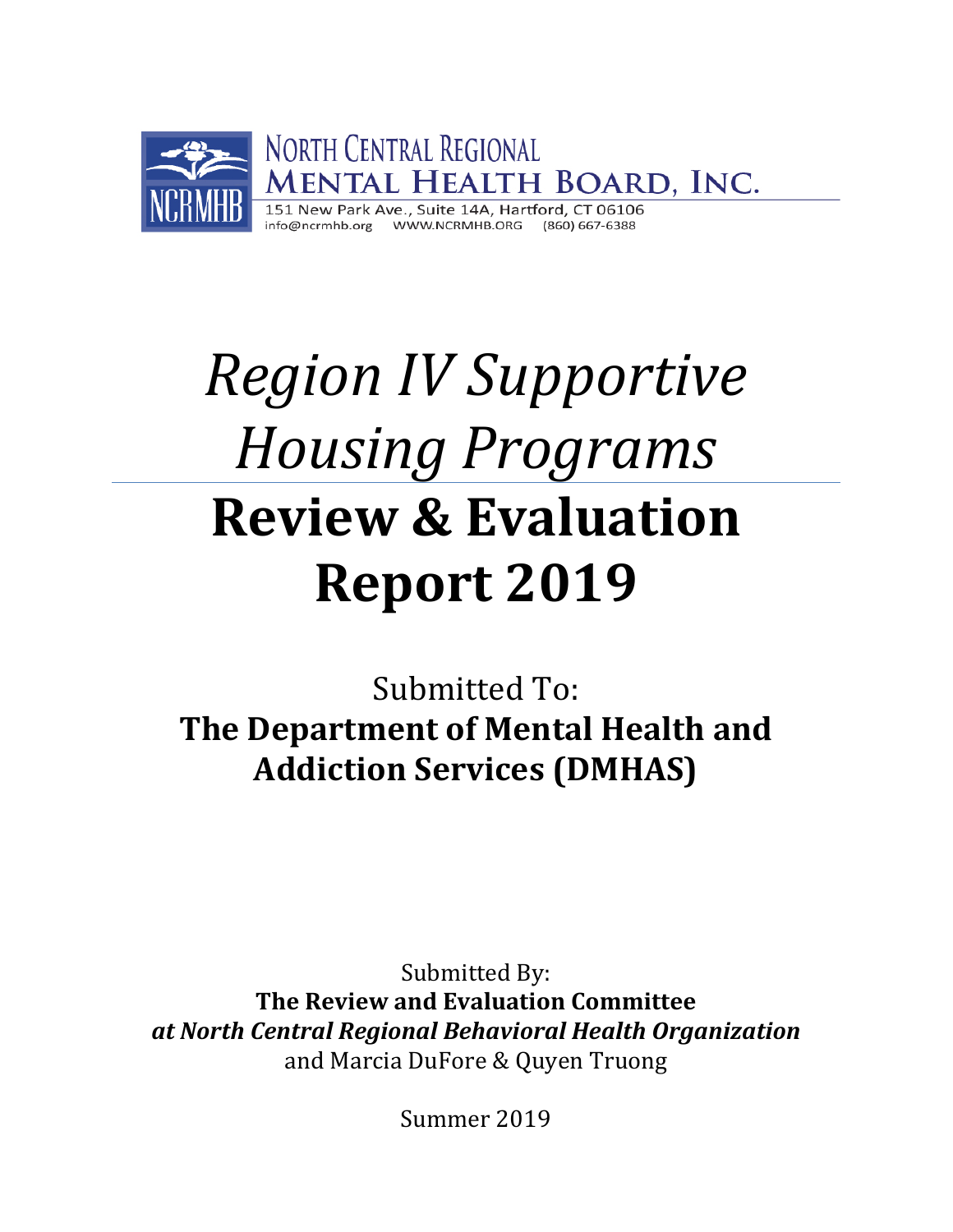

# *Region IV Supportive Housing Programs* **Review & Evaluation Report 2019**

Submitted To: **The Department of Mental Health and Addiction Services (DMHAS)**

Submitted By: **The Review and Evaluation Committee**  *at North Central Regional Behavioral Health Organization* and Marcia DuFore & Quyen Truong

Summer 2019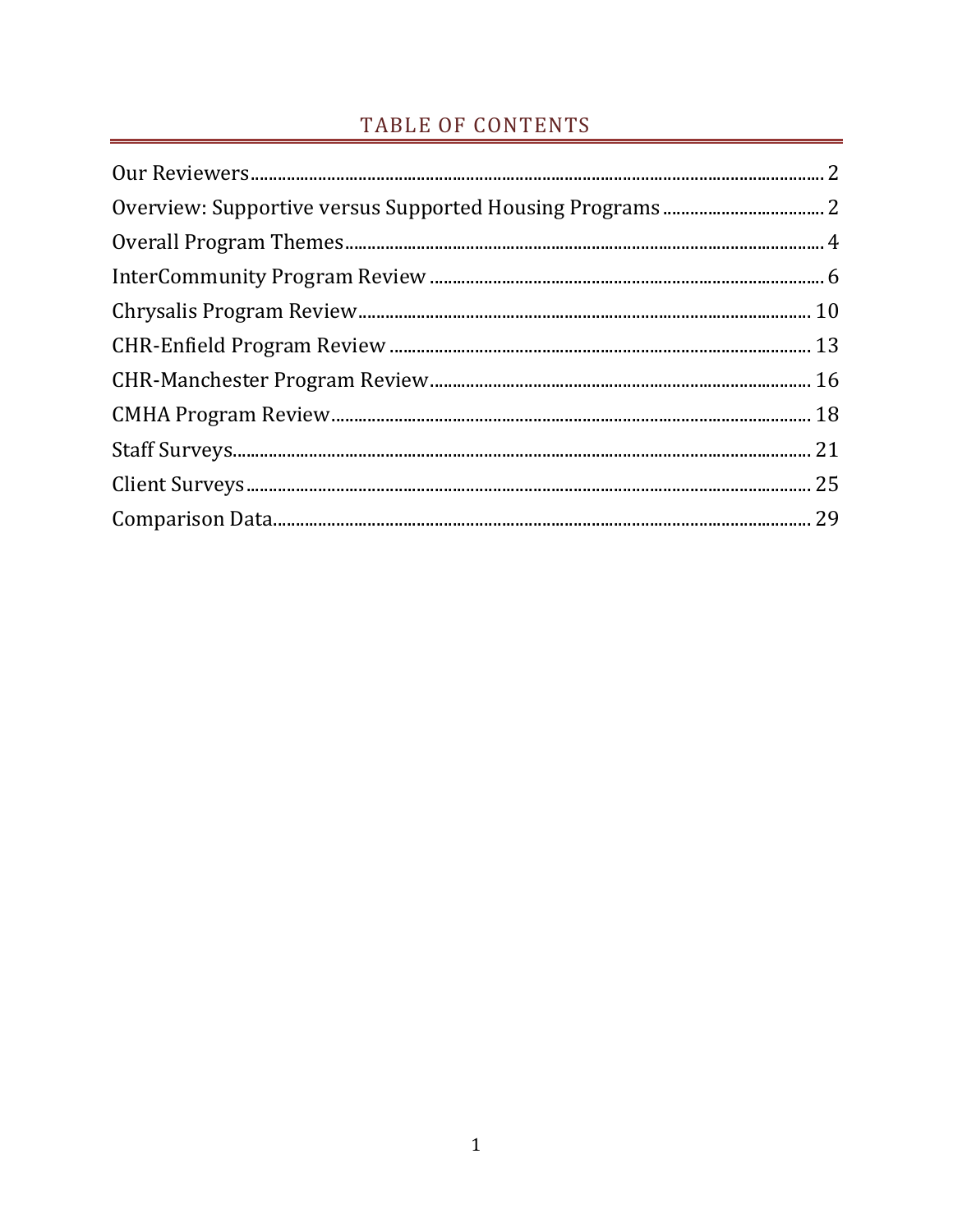# TABLE OF CONTENTS

<span id="page-1-0"></span>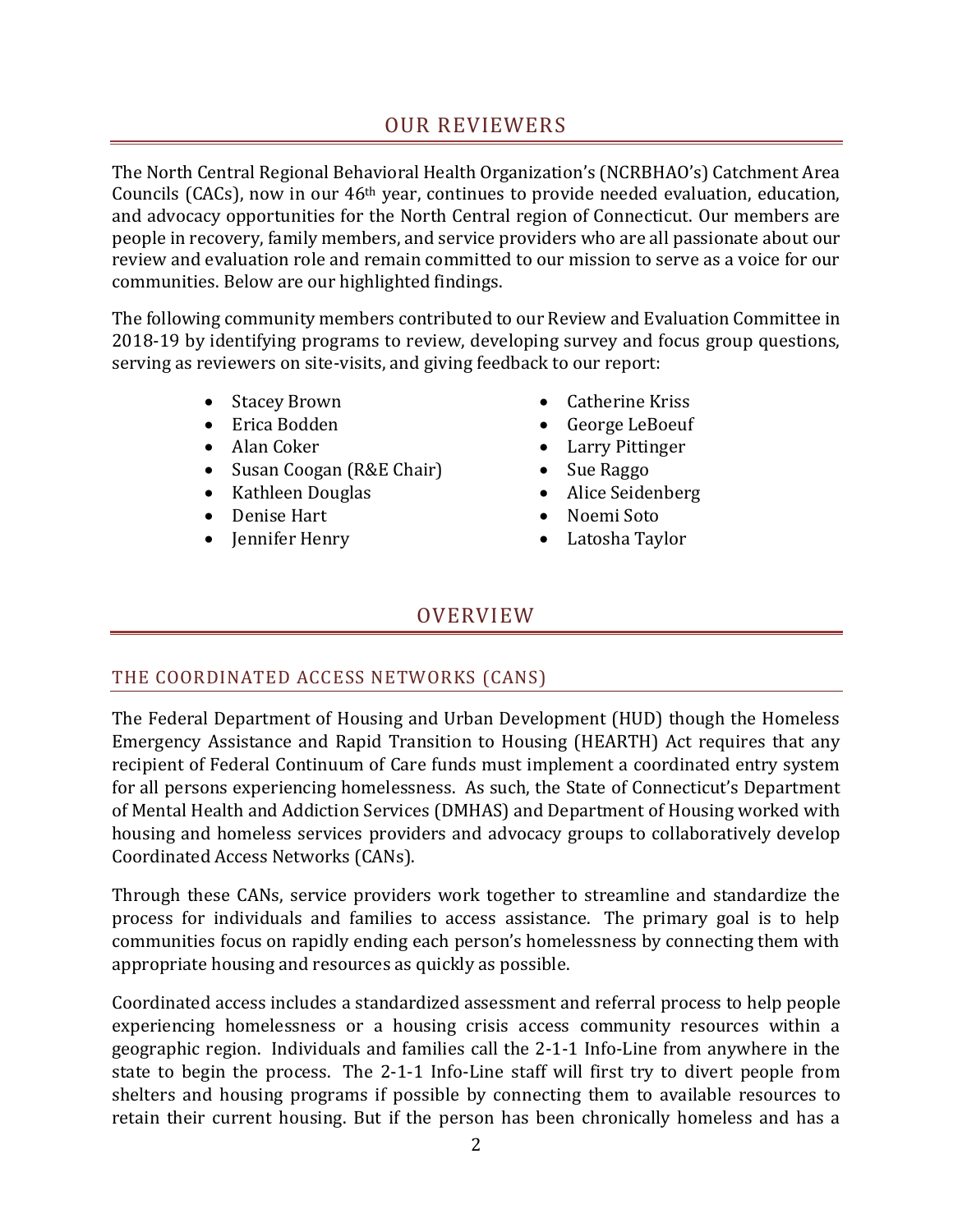## OUR REVIEWERS

The North Central Regional Behavioral Health Organization's (NCRBHAO's) Catchment Area Councils (CACs), now in our 46th year, continues to provide needed evaluation, education, and advocacy opportunities for the North Central region of Connecticut. Our members are people in recovery, family members, and service providers who are all passionate about our review and evaluation role and remain committed to our mission to serve as a voice for our communities. Below are our highlighted findings.

The following community members contributed to our Review and Evaluation Committee in 2018-19 by identifying programs to review, developing survey and focus group questions, serving as reviewers on site-visits, and giving feedback to our report:

- Stacey Brown
- Erica Bodden
- Alan Coker
- Susan Coogan (R&E Chair)
- Kathleen Douglas
- Denise Hart
- Jennifer Henry
- Catherine Kriss
- George LeBoeuf
- Larry Pittinger
- Sue Raggo
- Alice Seidenberg
- Noemi Soto
- Latosha Taylor

## OVERVIEW

## <span id="page-2-0"></span>THE COORDINATED ACCESS NETWORKS (CANS)

The Federal Department of Housing and Urban Development (HUD) though the Homeless Emergency Assistance and Rapid Transition to Housing (HEARTH) Act requires that any recipient of Federal Continuum of Care funds must implement a coordinated entry system for all persons experiencing homelessness. As such, the State of Connecticut's Department of Mental Health and Addiction Services (DMHAS) and Department of Housing worked with housing and homeless services providers and advocacy groups to collaboratively develop Coordinated Access Networks (CANs).

Through these CANs, service providers work together to streamline and standardize the process for individuals and families to access assistance. The primary goal is to help communities focus on rapidly ending each person's homelessness by connecting them with appropriate housing and resources as quickly as possible.

Coordinated access includes a standardized assessment and referral process to help people experiencing homelessness or a housing crisis access community resources within a geographic region. Individuals and families call the 2-1-1 Info-Line from anywhere in the state to begin the process. The 2-1-1 Info-Line staff will first try to divert people from shelters and housing programs if possible by connecting them to available resources to retain their current housing. But if the person has been chronically homeless and has a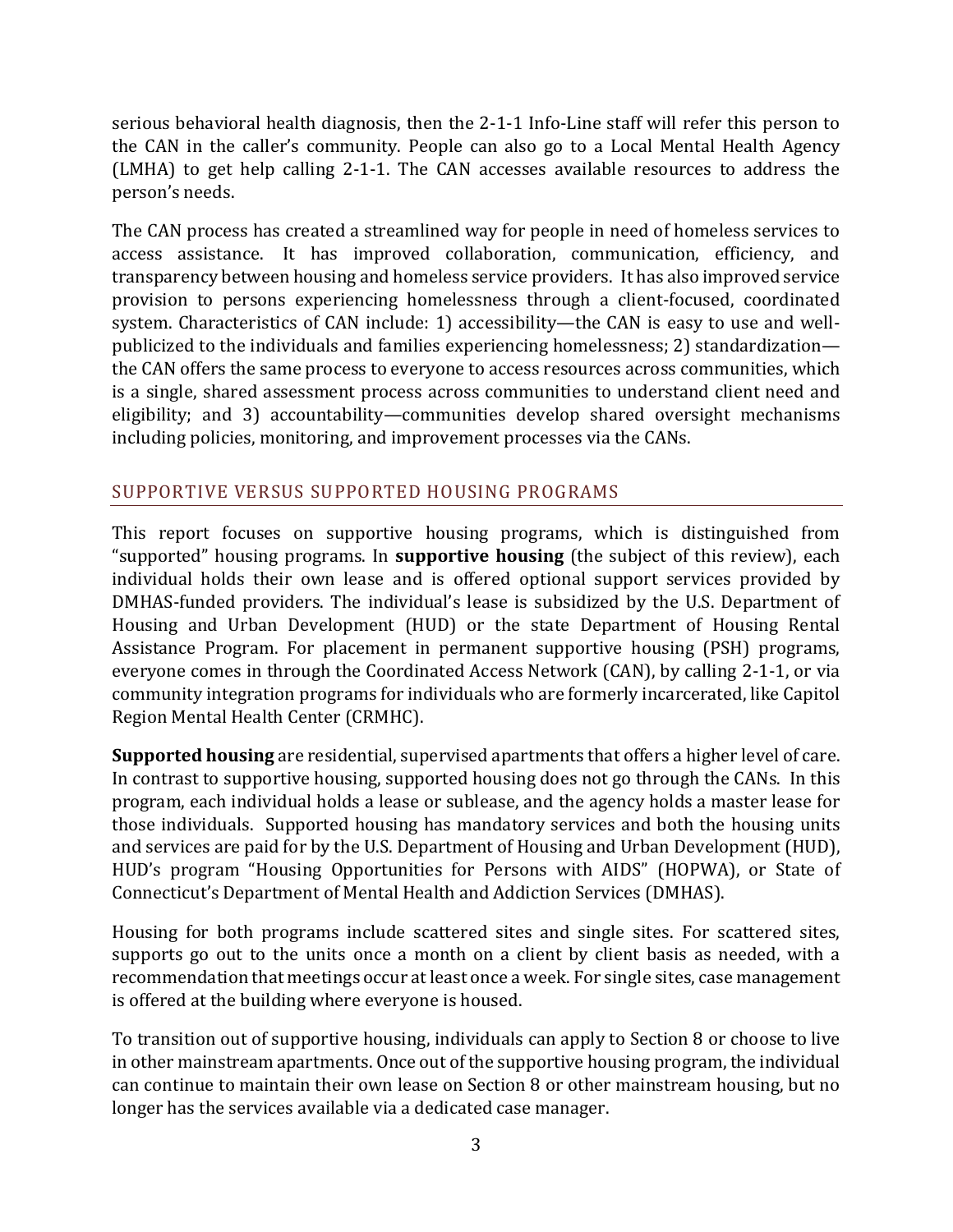serious behavioral health diagnosis, then the 2-1-1 Info-Line staff will refer this person to the CAN in the caller's community. People can also go to a Local Mental Health Agency (LMHA) to get help calling 2-1-1. The CAN accesses available resources to address the person's needs.

The CAN process has created a streamlined way for people in need of homeless services to access assistance. It has improved collaboration, communication, efficiency, and transparency between housing and homeless service providers. It has also improved service provision to persons experiencing homelessness through a client-focused, coordinated system. Characteristics of CAN include: 1) accessibility—the CAN is easy to use and wellpublicized to the individuals and families experiencing homelessness; 2) standardization the CAN offers the same process to everyone to access resources across communities, which is a single, shared assessment process across communities to understand client need and eligibility; and 3) accountability—communities develop shared oversight mechanisms including policies, monitoring, and improvement processes via the CANs.

## SUPPORTIVE VERSUS SUPPORTED HOUSING PROGRAMS

This report focuses on supportive housing programs, which is distinguished from "supported" housing programs. In **supportive housing** (the subject of this review), each individual holds their own lease and is offered optional support services provided by DMHAS-funded providers. The individual's lease is subsidized by the U.S. Department of Housing and Urban Development (HUD) or the state Department of Housing Rental Assistance Program. For placement in permanent supportive housing (PSH) programs, everyone comes in through the Coordinated Access Network (CAN), by calling 2-1-1, or via community integration programs for individuals who are formerly incarcerated, like Capitol Region Mental Health Center (CRMHC).

**Supported housing** are residential, supervised apartments that offers a higher level of care. In contrast to supportive housing, supported housing does not go through the CANs. In this program, each individual holds a lease or sublease, and the agency holds a master lease for those individuals. Supported housing has mandatory services and both the housing units and services are paid for by the U.S. Department of Housing and Urban Development (HUD), HUD's program "Housing Opportunities for Persons with AIDS" (HOPWA), or State of Connecticut's Department of Mental Health and Addiction Services (DMHAS).

Housing for both programs include scattered sites and single sites. For scattered sites, supports go out to the units once a month on a client by client basis as needed, with a recommendation that meetings occur at least once a week. For single sites, case management is offered at the building where everyone is housed.

To transition out of supportive housing, individuals can apply to Section 8 or choose to live in other mainstream apartments. Once out of the supportive housing program, the individual can continue to maintain their own lease on Section 8 or other mainstream housing, but no longer has the services available via a dedicated case manager.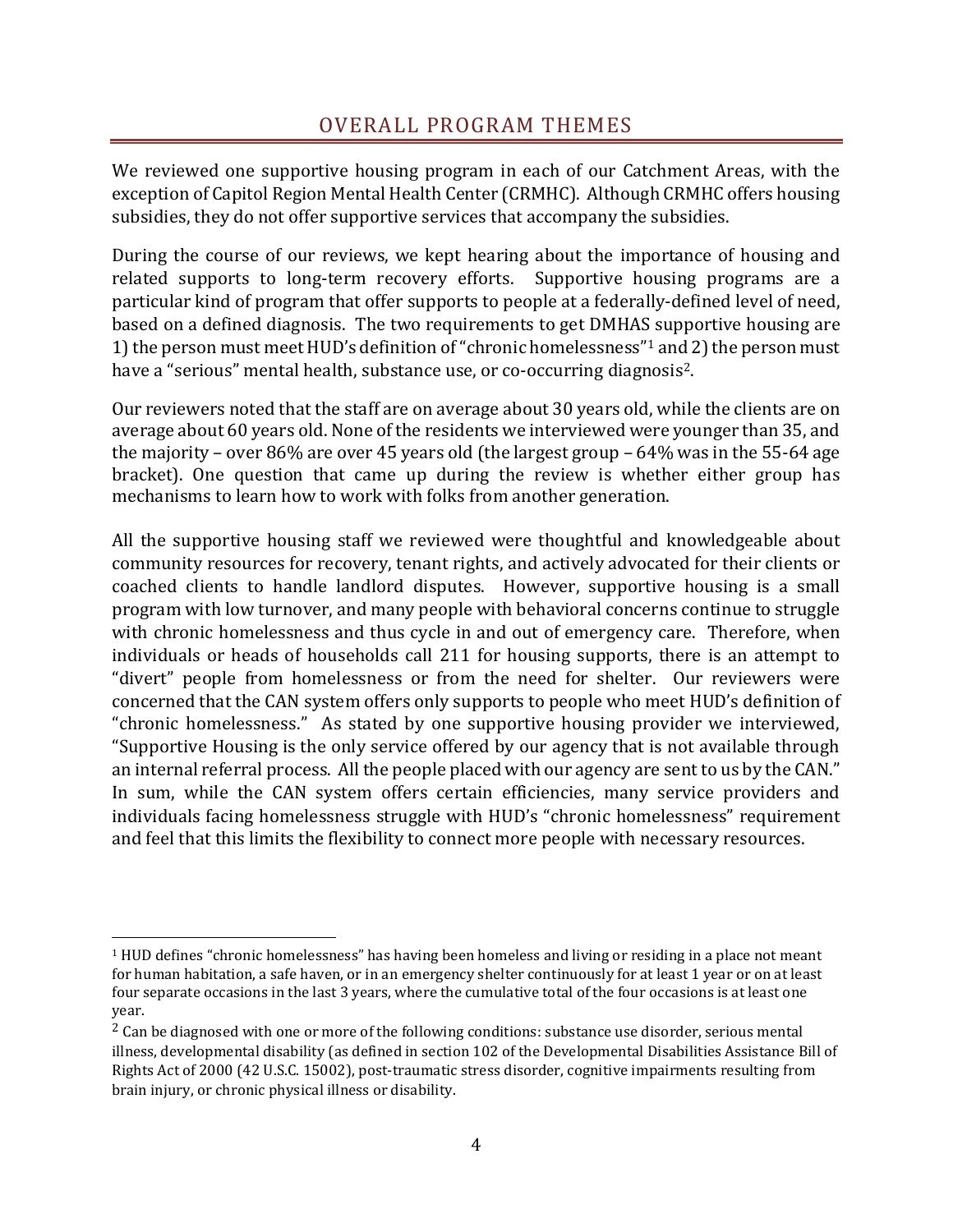## OVERALL PROGRAM THEMES

<span id="page-4-0"></span>We reviewed one supportive housing program in each of our Catchment Areas, with the exception of Capitol Region Mental Health Center (CRMHC). Although CRMHC offers housing subsidies, they do not offer supportive services that accompany the subsidies.

During the course of our reviews, we kept hearing about the importance of housing and related supports to long-term recovery efforts. Supportive housing programs are a particular kind of program that offer supports to people at a federally-defined level of need, based on a defined diagnosis. The two requirements to get DMHAS supportive housing are 1) the person must meet HUD's definition of "chronic homelessness" <sup>1</sup> and 2) the person must have a "serious" mental health, substance use, or co-occurring diagnosis<sup>2</sup>.

Our reviewers noted that the staff are on average about 30 years old, while the clients are on average about 60 years old. None of the residents we interviewed were younger than 35, and the majority – over 86% are over 45 years old (the largest group – 64% was in the 55-64 age bracket). One question that came up during the review is whether either group has mechanisms to learn how to work with folks from another generation.

All the supportive housing staff we reviewed were thoughtful and knowledgeable about community resources for recovery, tenant rights, and actively advocated for their clients or coached clients to handle landlord disputes. However, supportive housing is a small program with low turnover, and many people with behavioral concerns continue to struggle with chronic homelessness and thus cycle in and out of emergency care. Therefore, when individuals or heads of households call 211 for housing supports, there is an attempt to "divert" people from homelessness or from the need for shelter. Our reviewers were concerned that the CAN system offers only supports to people who meet HUD's definition of "chronic homelessness." As stated by one supportive housing provider we interviewed, "Supportive Housing is the only service offered by our agency that is not available through an internal referral process. All the people placed with our agency are sent to us by the CAN." In sum, while the CAN system offers certain efficiencies, many service providers and individuals facing homelessness struggle with HUD's "chronic homelessness" requirement and feel that this limits the flexibility to connect more people with necessary resources.

 $\overline{\phantom{a}}$ 

 $1$  HUD defines "chronic homelessness" has having been homeless and living or residing in a place not meant for human habitation, a safe haven, or in an emergency shelter continuously for at least 1 year or on at least four separate occasions in the last 3 years, where the cumulative total of the four occasions is at least one year.

<sup>&</sup>lt;sup>2</sup> Can be diagnosed with one or more of the following conditions: substance use disorder, serious mental illness, developmental disability (as defined in section 102 of the Developmental Disabilities Assistance Bill of Rights Act of 2000 (42 U.S.C. 15002), post-traumatic stress disorder, cognitive impairments resulting from brain injury, or chronic physical illness or disability.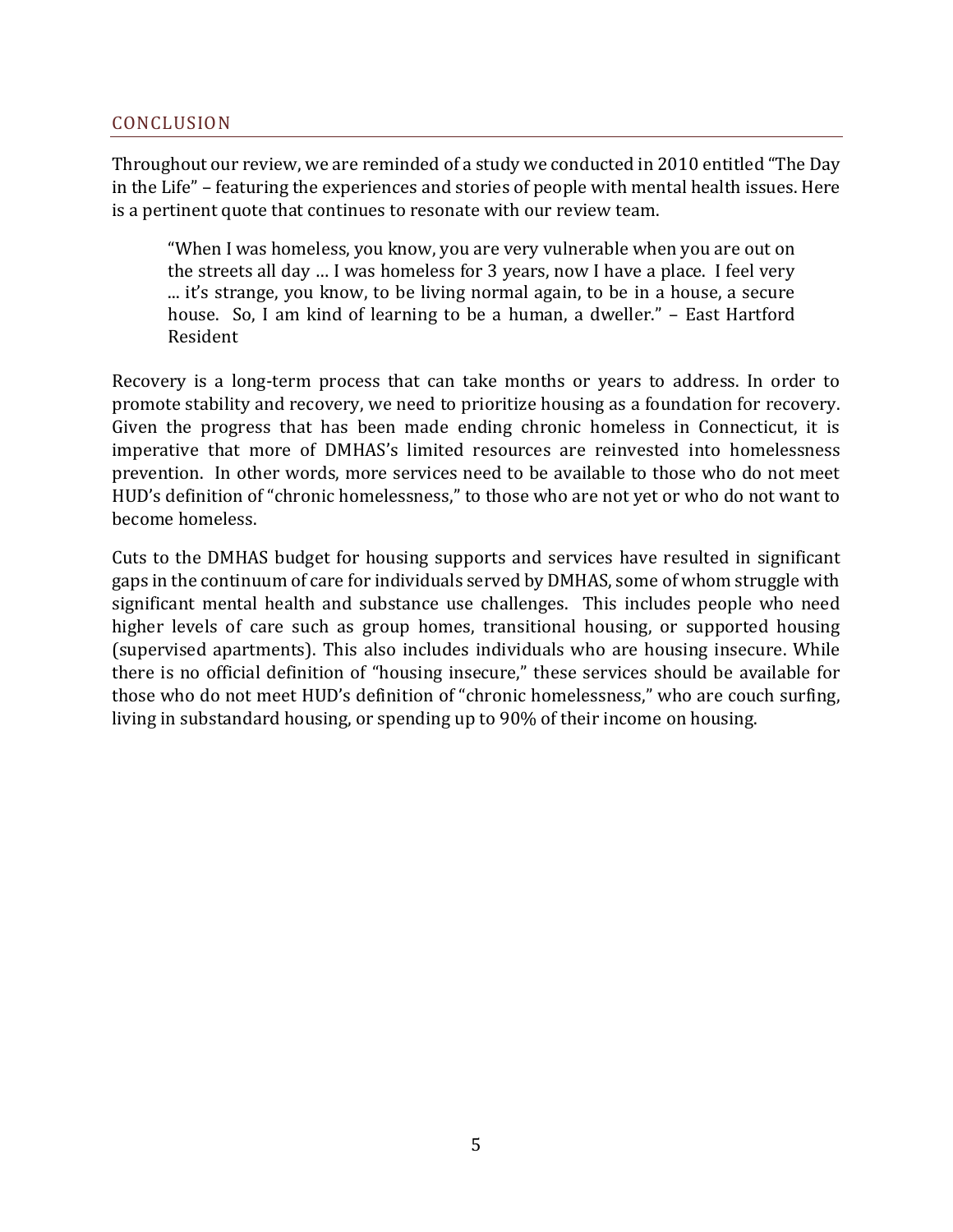#### CONCLUSION

Throughout our review, we are reminded of a study we conducted in 2010 entitled "The Day in the Life" – featuring the experiences and stories of people with mental health issues. Here is a pertinent quote that continues to resonate with our review team.

"When I was homeless, you know, you are very vulnerable when you are out on the streets all day … I was homeless for 3 years, now I have a place. I feel very ... it's strange, you know, to be living normal again, to be in a house, a secure house. So, I am kind of learning to be a human, a dweller." – East Hartford Resident

Recovery is a long-term process that can take months or years to address. In order to promote stability and recovery, we need to prioritize housing as a foundation for recovery. Given the progress that has been made ending chronic homeless in Connecticut, it is imperative that more of DMHAS's limited resources are reinvested into homelessness prevention. In other words, more services need to be available to those who do not meet HUD's definition of "chronic homelessness," to those who are not yet or who do not want to become homeless.

Cuts to the DMHAS budget for housing supports and services have resulted in significant gaps in the continuum of care for individuals served by DMHAS, some of whom struggle with significant mental health and substance use challenges. This includes people who need higher levels of care such as group homes, transitional housing, or supported housing (supervised apartments). This also includes individuals who are housing insecure. While there is no official definition of "housing insecure," these services should be available for those who do not meet HUD's definition of "chronic homelessness," who are couch surfing, living in substandard housing, or spending up to 90% of their income on housing.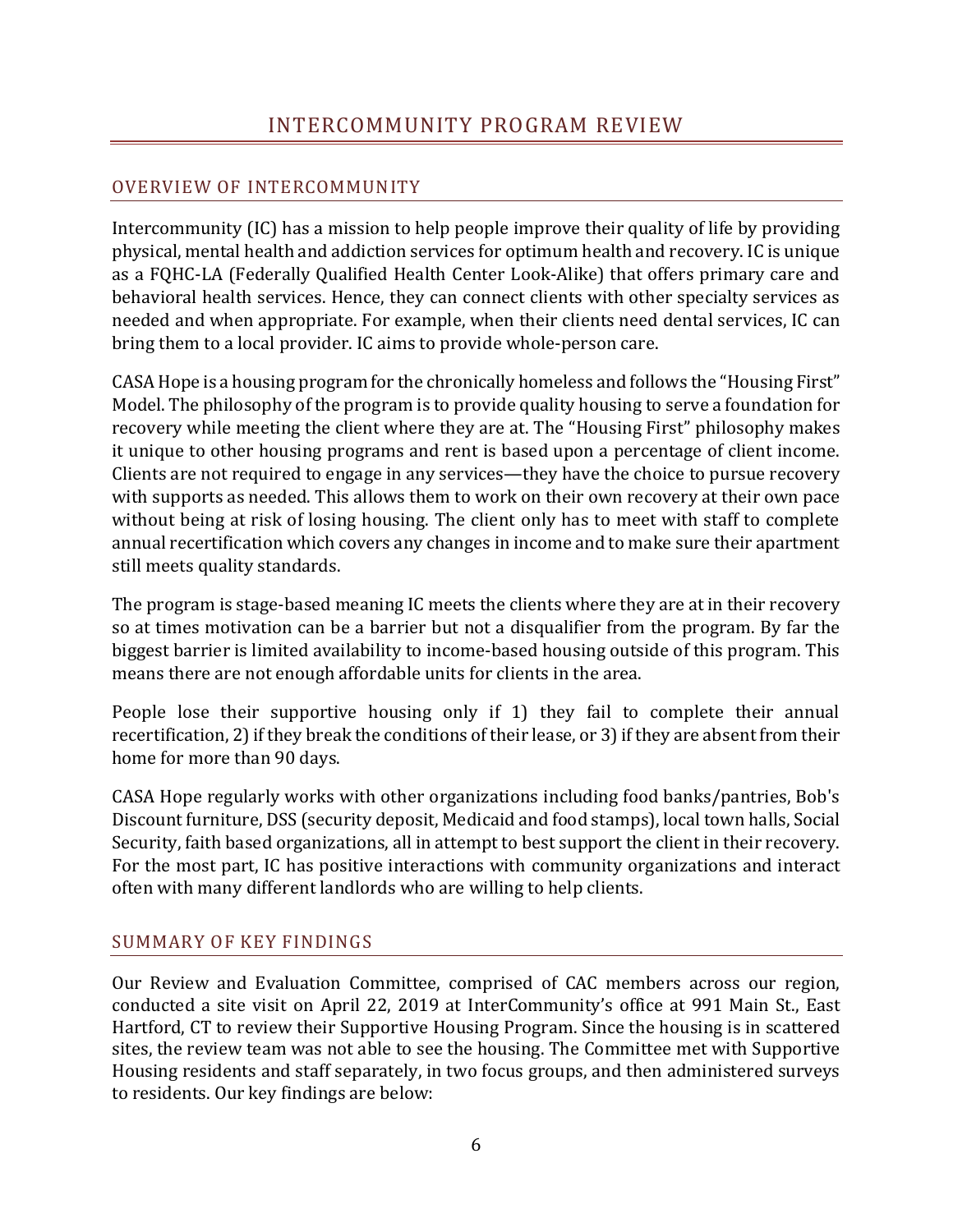# INTERCOMMUNITY PROGRAM REVIEW

## <span id="page-6-0"></span>OVERVIEW OF INTERCOMMUNITY

Intercommunity (IC) has a mission to help people improve their quality of life by providing physical, mental health and addiction services for optimum health and recovery. IC is unique as a FQHC-LA (Federally Qualified Health Center Look-Alike) that offers primary care and behavioral health services. Hence, they can connect clients with other specialty services as needed and when appropriate. For example, when their clients need dental services, IC can bring them to a local provider. IC aims to provide whole-person care.

CASA Hope is a housing program for the chronically homeless and follows the "Housing First" Model. The philosophy of the program is to provide quality housing to serve a foundation for recovery while meeting the client where they are at. The "Housing First" philosophy makes it unique to other housing programs and rent is based upon a percentage of client income. Clients are not required to engage in any services—they have the choice to pursue recovery with supports as needed. This allows them to work on their own recovery at their own pace without being at risk of losing housing. The client only has to meet with staff to complete annual recertification which covers any changes in income and to make sure their apartment still meets quality standards.

The program is stage-based meaning IC meets the clients where they are at in their recovery so at times motivation can be a barrier but not a disqualifier from the program. By far the biggest barrier is limited availability to income-based housing outside of this program. This means there are not enough affordable units for clients in the area.

People lose their supportive housing only if 1) they fail to complete their annual recertification, 2) if they break the conditions of their lease, or 3) if they are absent from their home for more than 90 days.

CASA Hope regularly works with other organizations including food banks/pantries, Bob's Discount furniture, DSS (security deposit, Medicaid and food stamps), local town halls, Social Security, faith based organizations, all in attempt to best support the client in their recovery. For the most part, IC has positive interactions with community organizations and interact often with many different landlords who are willing to help clients.

#### SUMMARY OF KEY FINDINGS

Our Review and Evaluation Committee, comprised of CAC members across our region, conducted a site visit on April 22, 2019 at InterCommunity's office at 991 Main St., East Hartford, CT to review their Supportive Housing Program. Since the housing is in scattered sites, the review team was not able to see the housing. The Committee met with Supportive Housing residents and staff separately, in two focus groups, and then administered surveys to residents. Our key findings are below: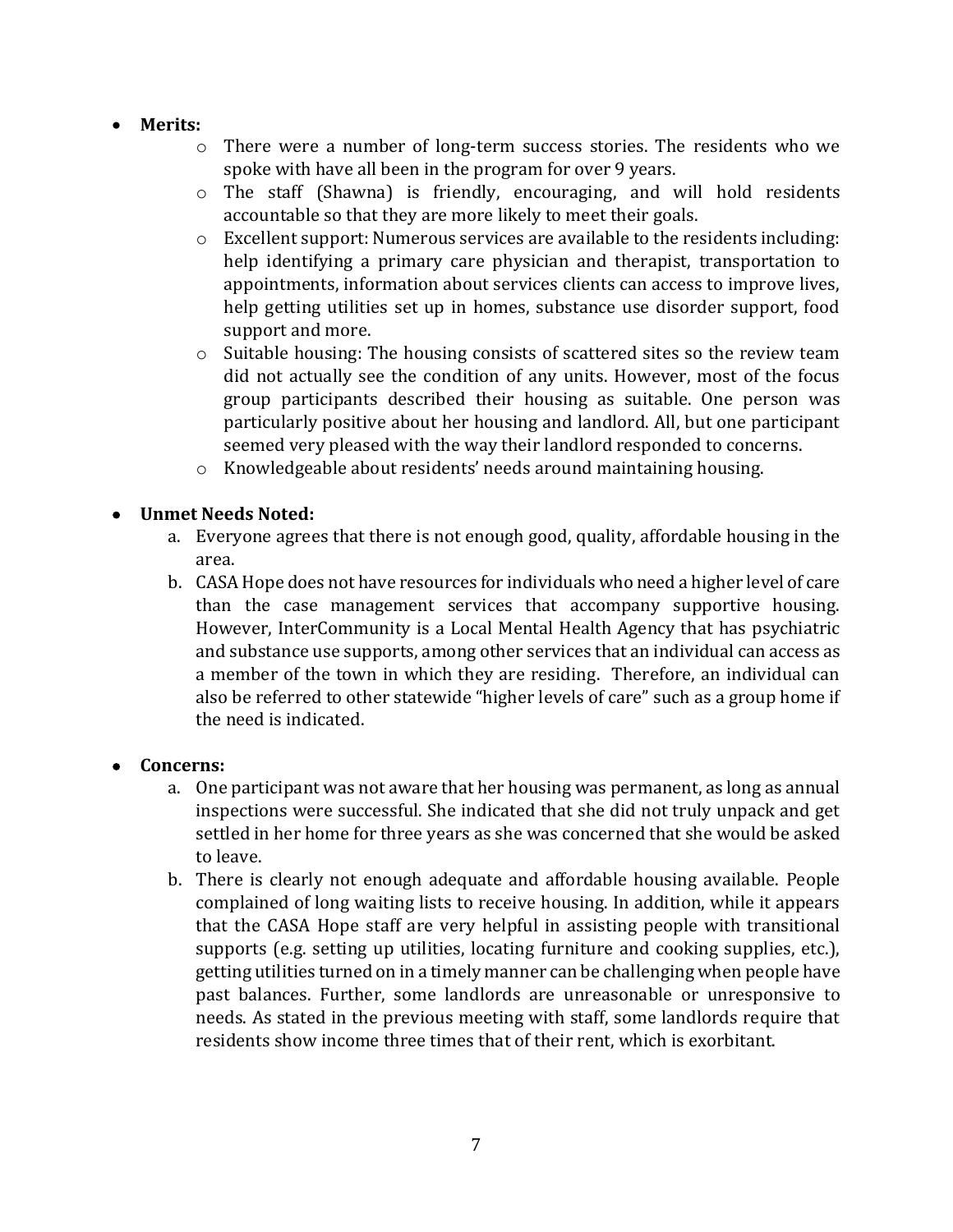- **Merits:**
	- o There were a number of long-term success stories. The residents who we spoke with have all been in the program for over 9 years.
	- o The staff (Shawna) is friendly, encouraging, and will hold residents accountable so that they are more likely to meet their goals.
	- $\circ$  Excellent support: Numerous services are available to the residents including: help identifying a primary care physician and therapist, transportation to appointments, information about services clients can access to improve lives, help getting utilities set up in homes, substance use disorder support, food support and more.
	- $\circ$  Suitable housing: The housing consists of scattered sites so the review team did not actually see the condition of any units. However, most of the focus group participants described their housing as suitable. One person was particularly positive about her housing and landlord. All, but one participant seemed very pleased with the way their landlord responded to concerns.
	- o Knowledgeable about residents' needs around maintaining housing.

## • **Unmet Needs Noted:**

- a. Everyone agrees that there is not enough good, quality, affordable housing in the area.
- b. CASAHope does not have resources for individuals who need a higher level of care than the case management services that accompany supportive housing. However, InterCommunity is a Local Mental Health Agency that has psychiatric and substance use supports, among other services that an individual can access as a member of the town in which they are residing. Therefore, an individual can also be referred to other statewide "higher levels of care" such as a group home if the need is indicated.

#### • **Concerns:**

- a. One participant was not aware that her housing was permanent, as long as annual inspections were successful. She indicated that she did not truly unpack and get settled in her home for three years as she was concerned that she would be asked to leave.
- b. There is clearly not enough adequate and affordable housing available. People complained of long waiting lists to receive housing. In addition, while it appears that the CASA Hope staff are very helpful in assisting people with transitional supports (e.g. setting up utilities, locating furniture and cooking supplies, etc.), getting utilities turned on in a timely manner can be challenging when people have past balances. Further, some landlords are unreasonable or unresponsive to needs. As stated in the previous meeting with staff, some landlords require that residents show income three times that of their rent, which is exorbitant.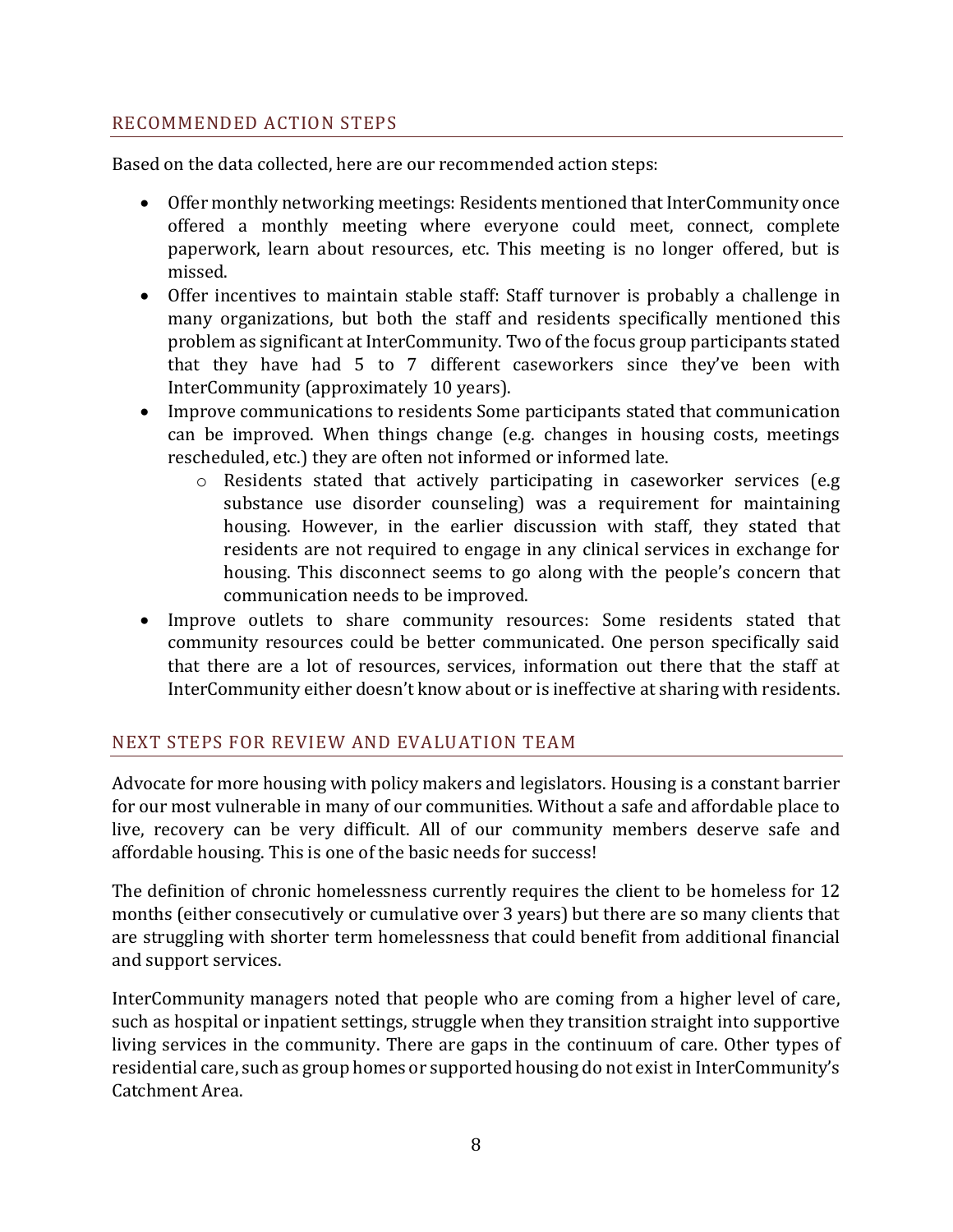## RECOMMENDED ACTION STEPS

Based on the data collected, here are our recommended action steps:

- Offer monthly networking meetings: Residents mentioned that InterCommunity once offered a monthly meeting where everyone could meet, connect, complete paperwork, learn about resources, etc. This meeting is no longer offered, but is missed.
- Offer incentives to maintain stable staff: Staff turnover is probably a challenge in many organizations, but both the staff and residents specifically mentioned this problem as significant at InterCommunity. Two of the focus group participants stated that they have had 5 to 7 different caseworkers since they've been with InterCommunity (approximately 10 years).
- Improve communications to residents Some participants stated that communication can be improved. When things change (e.g. changes in housing costs, meetings rescheduled, etc.) they are often not informed or informed late.
	- o Residents stated that actively participating in caseworker services (e.g substance use disorder counseling) was a requirement for maintaining housing. However, in the earlier discussion with staff, they stated that residents are not required to engage in any clinical services in exchange for housing. This disconnect seems to go along with the people's concern that communication needs to be improved.
- Improve outlets to share community resources: Some residents stated that community resources could be better communicated. One person specifically said that there are a lot of resources, services, information out there that the staff at InterCommunity either doesn't know about or is ineffective at sharing with residents.

#### NEXT STEPS FOR REVIEW AND EVALUATION TEAM

Advocate for more housing with policy makers and legislators. Housing is a constant barrier for our most vulnerable in many of our communities. Without a safe and affordable place to live, recovery can be very difficult. All of our community members deserve safe and affordable housing. This is one of the basic needs for success!

The definition of chronic homelessness currently requires the client to be homeless for 12 months (either consecutively or cumulative over 3 years) but there are so many clients that are struggling with shorter term homelessness that could benefit from additional financial and support services.

InterCommunity managers noted that people who are coming from a higher level of care, such as hospital or inpatient settings, struggle when they transition straight into supportive living services in the community. There are gaps in the continuum of care. Other types of residential care, such as group homes or supported housing do not exist in InterCommunity's Catchment Area.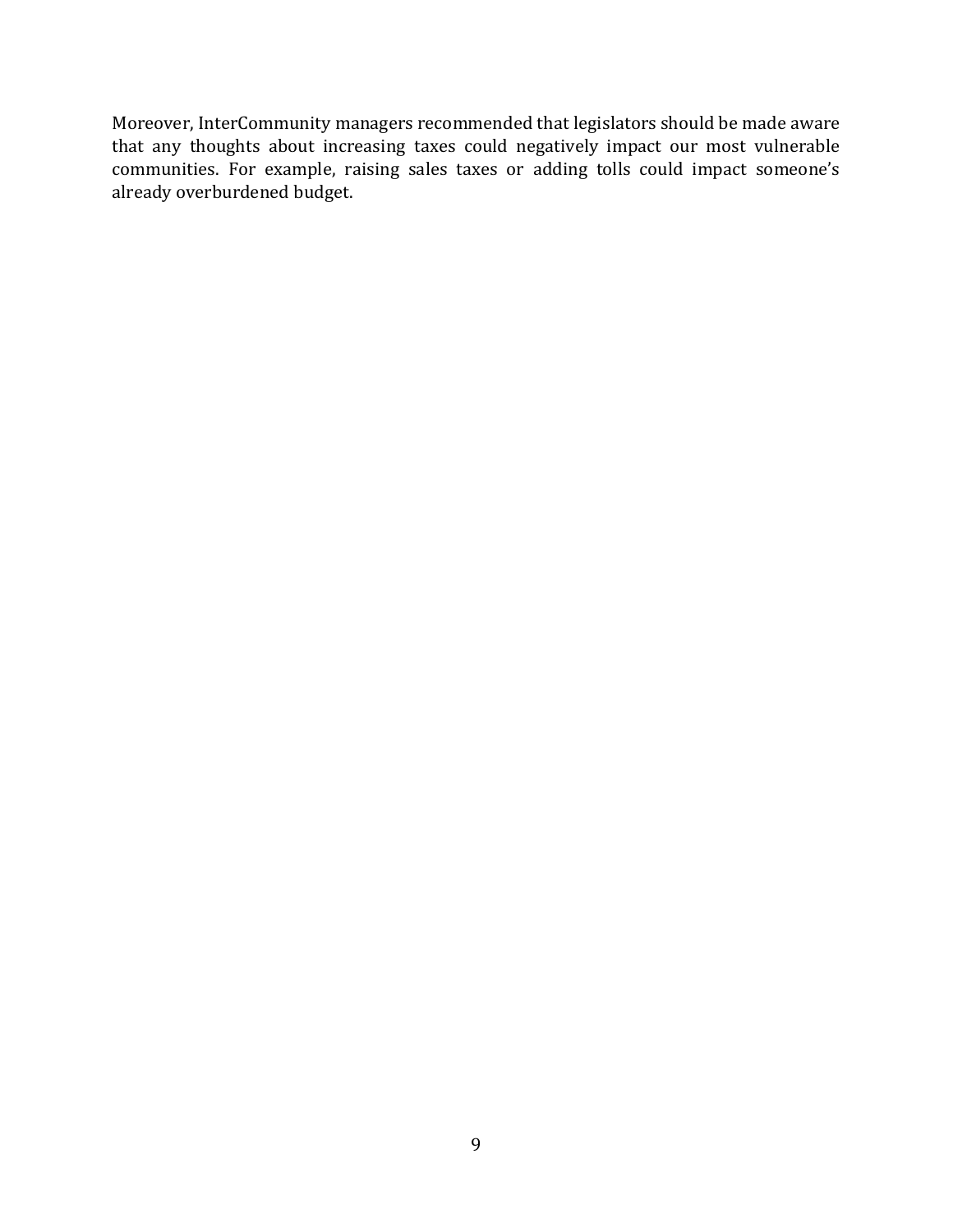Moreover, InterCommunity managers recommended that legislators should be made aware that any thoughts about increasing taxes could negatively impact our most vulnerable communities. For example, raising sales taxes or adding tolls could impact someone's already overburdened budget.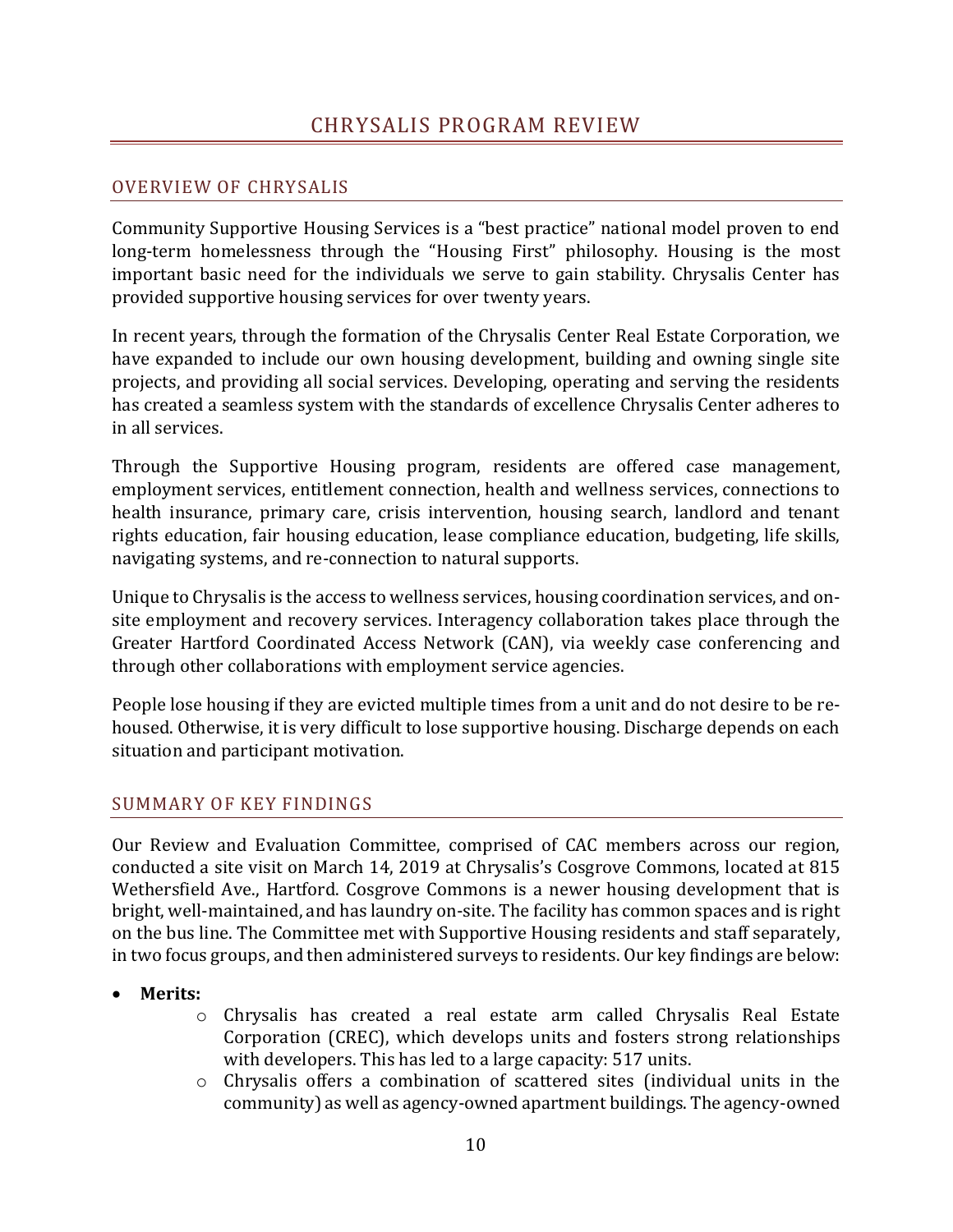## <span id="page-10-0"></span>OVERVIEW OF CHRYSALIS

Community Supportive Housing Services is a "best practice" national model proven to end long-term homelessness through the "Housing First" philosophy. Housing is the most important basic need for the individuals we serve to gain stability. Chrysalis Center has provided supportive housing services for over twenty years.

In recent years, through the formation of the Chrysalis Center Real Estate Corporation, we have expanded to include our own housing development, building and owning single site projects, and providing all social services. Developing, operating and serving the residents has created a seamless system with the standards of excellence Chrysalis Center adheres to in all services.

Through the Supportive Housing program, residents are offered case management, employment services, entitlement connection, health and wellness services, connections to health insurance, primary care, crisis intervention, housing search, landlord and tenant rights education, fair housing education, lease compliance education, budgeting, life skills, navigating systems, and re-connection to natural supports.

Unique to Chrysalis is the access to wellness services, housing coordination services, and onsite employment and recovery services. Interagency collaboration takes place through the Greater Hartford Coordinated Access Network (CAN), via weekly case conferencing and through other collaborations with employment service agencies.

People lose housing if they are evicted multiple times from a unit and do not desire to be rehoused. Otherwise, it is very difficult to lose supportive housing. Discharge depends on each situation and participant motivation.

## SUMMARY OF KEY FINDINGS

Our Review and Evaluation Committee, comprised of CAC members across our region, conducted a site visit on March 14, 2019 at Chrysalis's Cosgrove Commons, located at 815 Wethersfield Ave., Hartford. Cosgrove Commons is a newer housing development that is bright, well-maintained, and has laundry on-site. The facility has common spaces and is right on the bus line. The Committee met with Supportive Housing residents and staff separately, in two focus groups, and then administered surveys to residents. Our key findings are below:

- **Merits:**
	- o Chrysalis has created a real estate arm called Chrysalis Real Estate Corporation (CREC), which develops units and fosters strong relationships with developers. This has led to a large capacity: 517 units.
	- o Chrysalis offers a combination of scattered sites (individual units in the community) as well as agency-owned apartment buildings. The agency-owned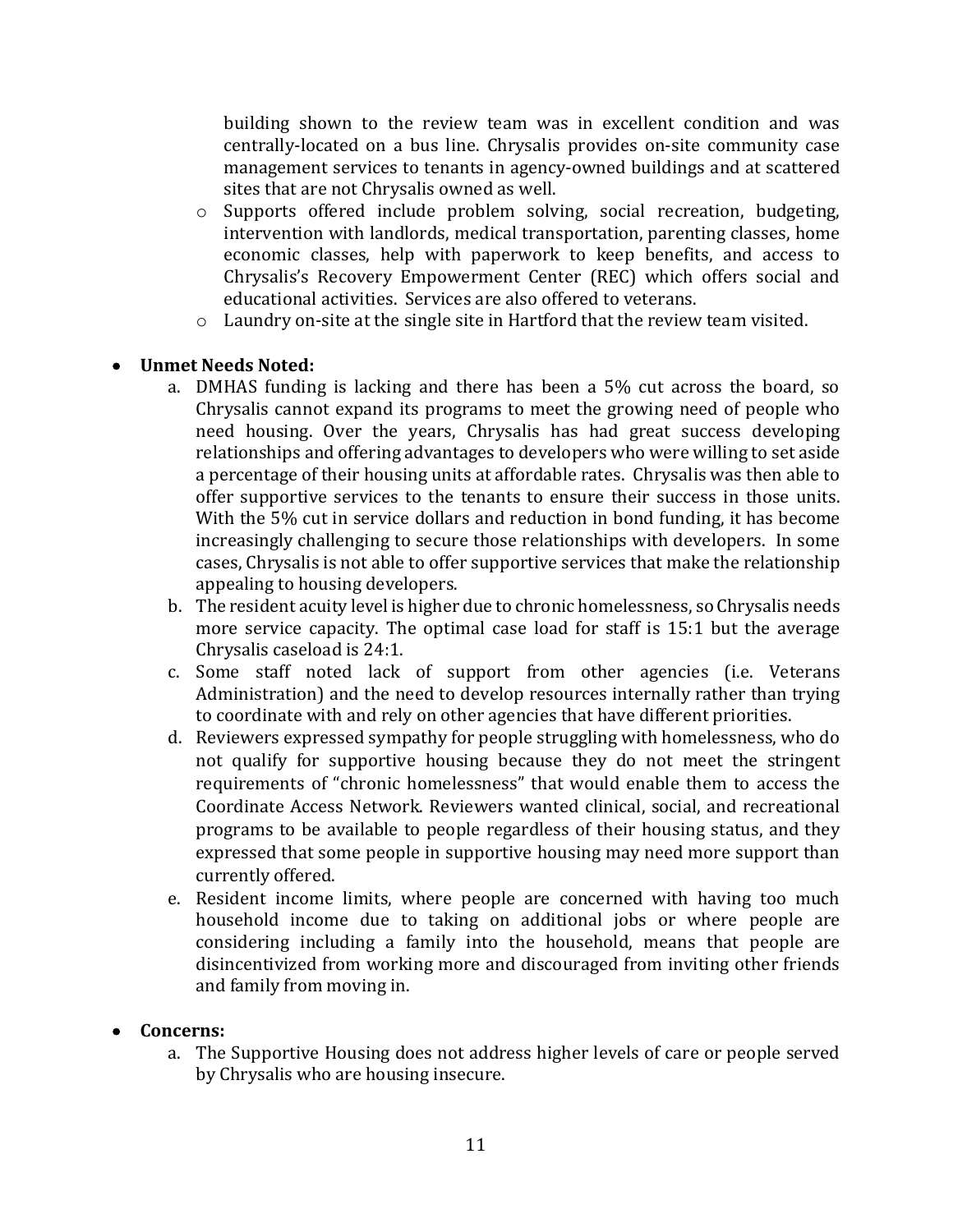building shown to the review team was in excellent condition and was centrally-located on a bus line. Chrysalis provides on-site community case management services to tenants in agency-owned buildings and at scattered sites that are not Chrysalis owned as well.

- o Supports offered include problem solving, social recreation, budgeting, intervention with landlords, medical transportation, parenting classes, home economic classes, help with paperwork to keep benefits, and access to Chrysalis's Recovery Empowerment Center (REC) which offers social and educational activities. Services are also offered to veterans.
- $\circ$  Laundry on-site at the single site in Hartford that the review team visited.

## • **Unmet Needs Noted:**

- a. DMHAS funding is lacking and there has been a 5% cut across the board, so Chrysalis cannot expand its programs to meet the growing need of people who need housing. Over the years, Chrysalis has had great success developing relationships and offering advantages to developers who were willing to set aside a percentage of their housing units at affordable rates. Chrysalis was then able to offer supportive services to the tenants to ensure their success in those units. With the 5% cut in service dollars and reduction in bond funding, it has become increasingly challenging to secure those relationships with developers. In some cases, Chrysalis is not able to offer supportive services that make the relationship appealing to housing developers.
- b. The resident acuity level is higher due to chronic homelessness, so Chrysalis needs more service capacity. The optimal case load for staff is 15:1 but the average Chrysalis caseload is 24:1.
- c. Some staff noted lack of support from other agencies (i.e. Veterans Administration) and the need to develop resources internally rather than trying to coordinate with and rely on other agencies that have different priorities.
- d. Reviewers expressed sympathy for people struggling with homelessness, who do not qualify for supportive housing because they do not meet the stringent requirements of "chronic homelessness" that would enable them to access the Coordinate Access Network. Reviewers wanted clinical, social, and recreational programs to be available to people regardless of their housing status, and they expressed that some people in supportive housing may need more support than currently offered.
- e. Resident income limits, where people are concerned with having too much household income due to taking on additional jobs or where people are considering including a family into the household, means that people are disincentivized from working more and discouraged from inviting other friends and family from moving in.

#### • **Concerns:**

a. The Supportive Housing does not address higher levels of care or people served by Chrysalis who are housing insecure.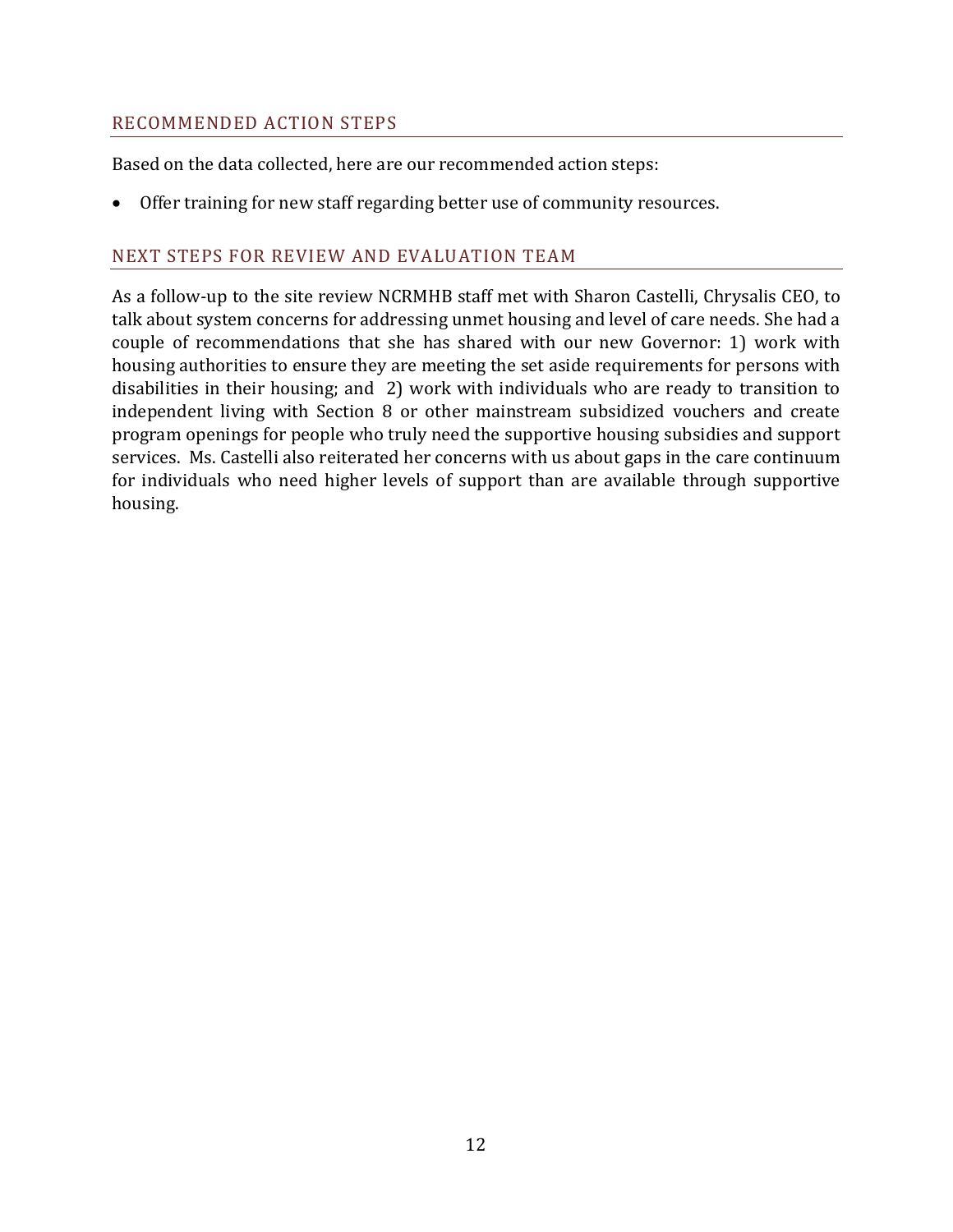#### RECOMMENDED ACTION STEPS

Based on the data collected, here are our recommended action steps:

• Offer training for new staff regarding better use of community resources.

## NEXT STEPS FOR REVIEW AND EVALUATION TEAM

As a follow-up to the site review NCRMHB staff met with Sharon Castelli, Chrysalis CEO, to talk about system concerns for addressing unmet housing and level of care needs. She had a couple of recommendations that she has shared with our new Governor: 1) work with housing authorities to ensure they are meeting the set aside requirements for persons with disabilities in their housing; and 2) work with individuals who are ready to transition to independent living with Section 8 or other mainstream subsidized vouchers and create program openings for people who truly need the supportive housing subsidies and support services. Ms. Castelli also reiterated her concerns with us about gaps in the care continuum for individuals who need higher levels of support than are available through supportive housing.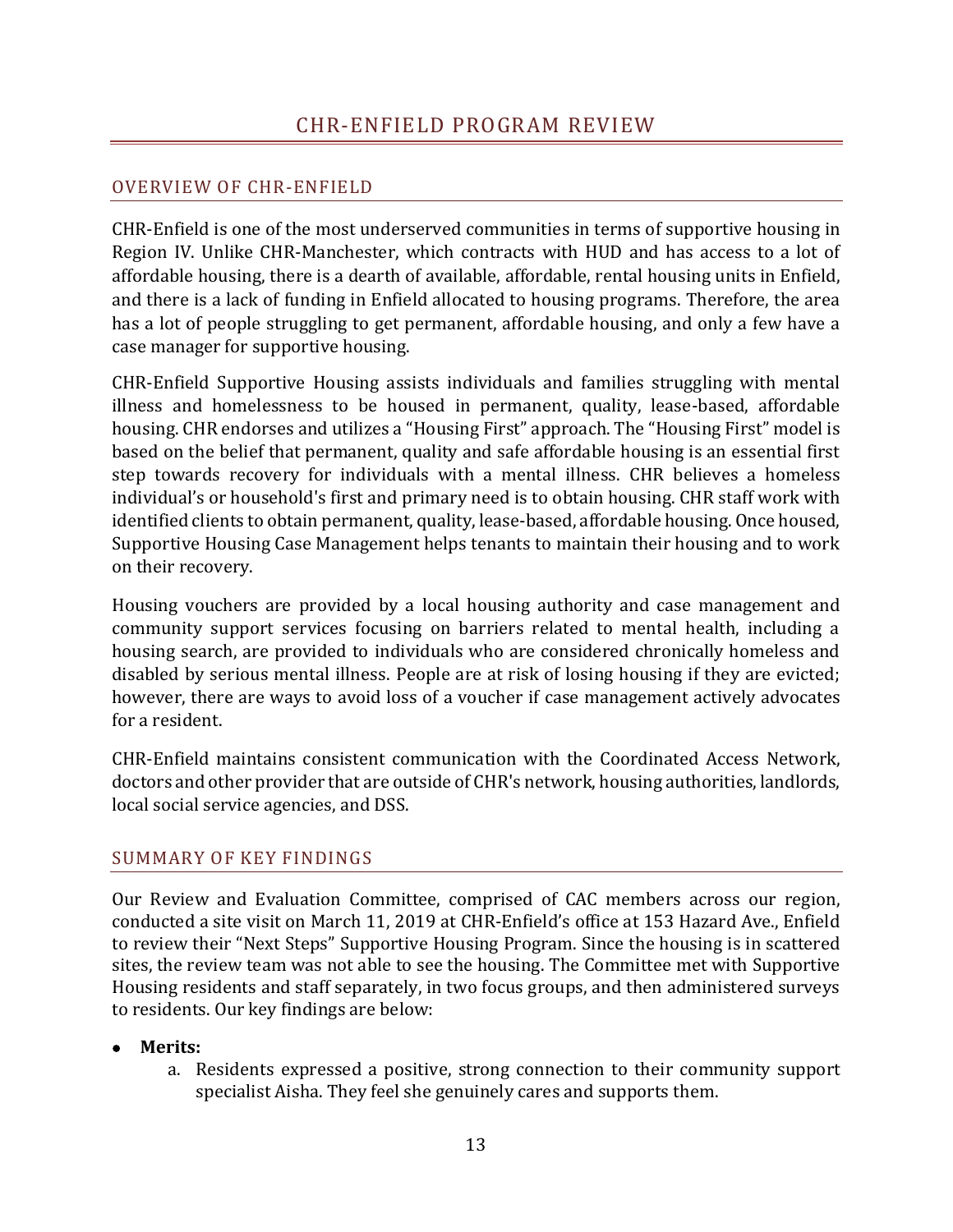## <span id="page-13-0"></span>OVERVIEW OF CHR-ENFIELD

CHR-Enfield is one of the most underserved communities in terms of supportive housing in Region IV. Unlike CHR-Manchester, which contracts with HUD and has access to a lot of affordable housing, there is a dearth of available, affordable, rental housing units in Enfield, and there is a lack of funding in Enfield allocated to housing programs. Therefore, the area has a lot of people struggling to get permanent, affordable housing, and only a few have a case manager for supportive housing.

CHR-Enfield Supportive Housing assists individuals and families struggling with mental illness and homelessness to be housed in permanent, quality, lease-based, affordable housing. CHR endorses and utilizes a "Housing First" approach. The "Housing First" model is based on the belief that permanent, quality and safe affordable housing is an essential first step towards recovery for individuals with a mental illness. CHR believes a homeless individual's or household's first and primary need is to obtain housing. CHR staff work with identified clients to obtain permanent, quality, lease-based, affordable housing. Once housed, Supportive Housing Case Management helps tenants to maintain their housing and to work on their recovery.

Housing vouchers are provided by a local housing authority and case management and community support services focusing on barriers related to mental health, including a housing search, are provided to individuals who are considered chronically homeless and disabled by serious mental illness. People are at risk of losing housing if they are evicted; however, there are ways to avoid loss of a voucher if case management actively advocates for a resident.

CHR-Enfield maintains consistent communication with the Coordinated Access Network, doctors and other provider that are outside of CHR's network, housing authorities, landlords, local social service agencies, and DSS.

#### SUMMARY OF KEY FINDINGS

Our Review and Evaluation Committee, comprised of CAC members across our region, conducted a site visit on March 11, 2019 at CHR-Enfield's office at 153 Hazard Ave., Enfield to review their "Next Steps" Supportive Housing Program. Since the housing is in scattered sites, the review team was not able to see the housing. The Committee met with Supportive Housing residents and staff separately, in two focus groups, and then administered surveys to residents. Our key findings are below:

- **Merits:**
	- a. Residents expressed a positive, strong connection to their community support specialist Aisha. They feel she genuinely cares and supports them.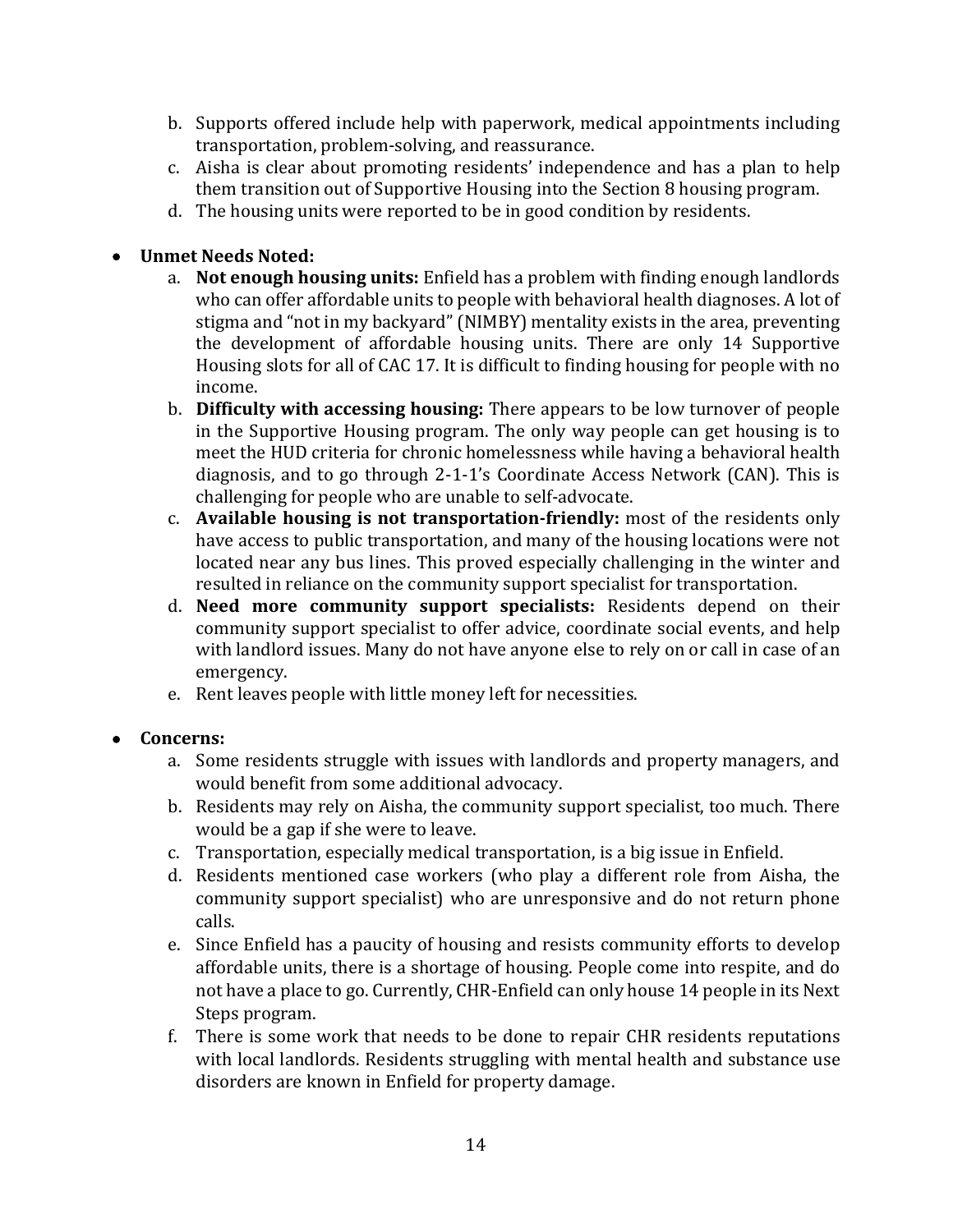- b. Supports offered include help with paperwork, medical appointments including transportation, problem-solving, and reassurance.
- c. Aisha is clear about promoting residents' independence and has a plan to help them transition out of Supportive Housing into the Section 8 housing program.
- d. The housing units were reported to be in good condition by residents.

## • **Unmet Needs Noted:**

- a. **Not enough housing units:** Enfield has a problem with finding enough landlords who can offer affordable units to people with behavioral health diagnoses. A lot of stigma and "not in my backyard" (NIMBY) mentality exists in the area, preventing the development of affordable housing units. There are only 14 Supportive Housing slots for all of CAC 17. It is difficult to finding housing for people with no income.
- b. **Difficulty with accessing housing:** There appears to be low turnover of people in the Supportive Housing program. The only way people can get housing is to meet the HUD criteria for chronic homelessness while having a behavioral health diagnosis, and to go through 2-1-1's Coordinate Access Network (CAN). This is challenging for people who are unable to self-advocate.
- c. **Available housing is not transportation-friendly:** most of the residents only have access to public transportation, and many of the housing locations were not located near any bus lines. This proved especially challenging in the winter and resulted in reliance on the community support specialist for transportation.
- d. **Need more community support specialists:** Residents depend on their community support specialist to offer advice, coordinate social events, and help with landlord issues. Many do not have anyone else to rely on or call in case of an emergency.
- e. Rent leaves people with little money left for necessities.
- **Concerns:**
	- a. Some residents struggle with issues with landlords and property managers, and would benefit from some additional advocacy.
	- b. Residents may rely on Aisha, the community support specialist, too much. There would be a gap if she were to leave.
	- c. Transportation, especially medical transportation, is a big issue in Enfield.
	- d. Residents mentioned case workers (who play a different role from Aisha, the community support specialist) who are unresponsive and do not return phone calls.
	- e. Since Enfield has a paucity of housing and resists community efforts to develop affordable units, there is a shortage of housing. People come into respite, and do not have a place to go. Currently, CHR-Enfield can only house 14 people in its Next Steps program.
	- f. There is some work that needs to be done to repair CHR residents reputations with local landlords. Residents struggling with mental health and substance use disorders are known in Enfield for property damage.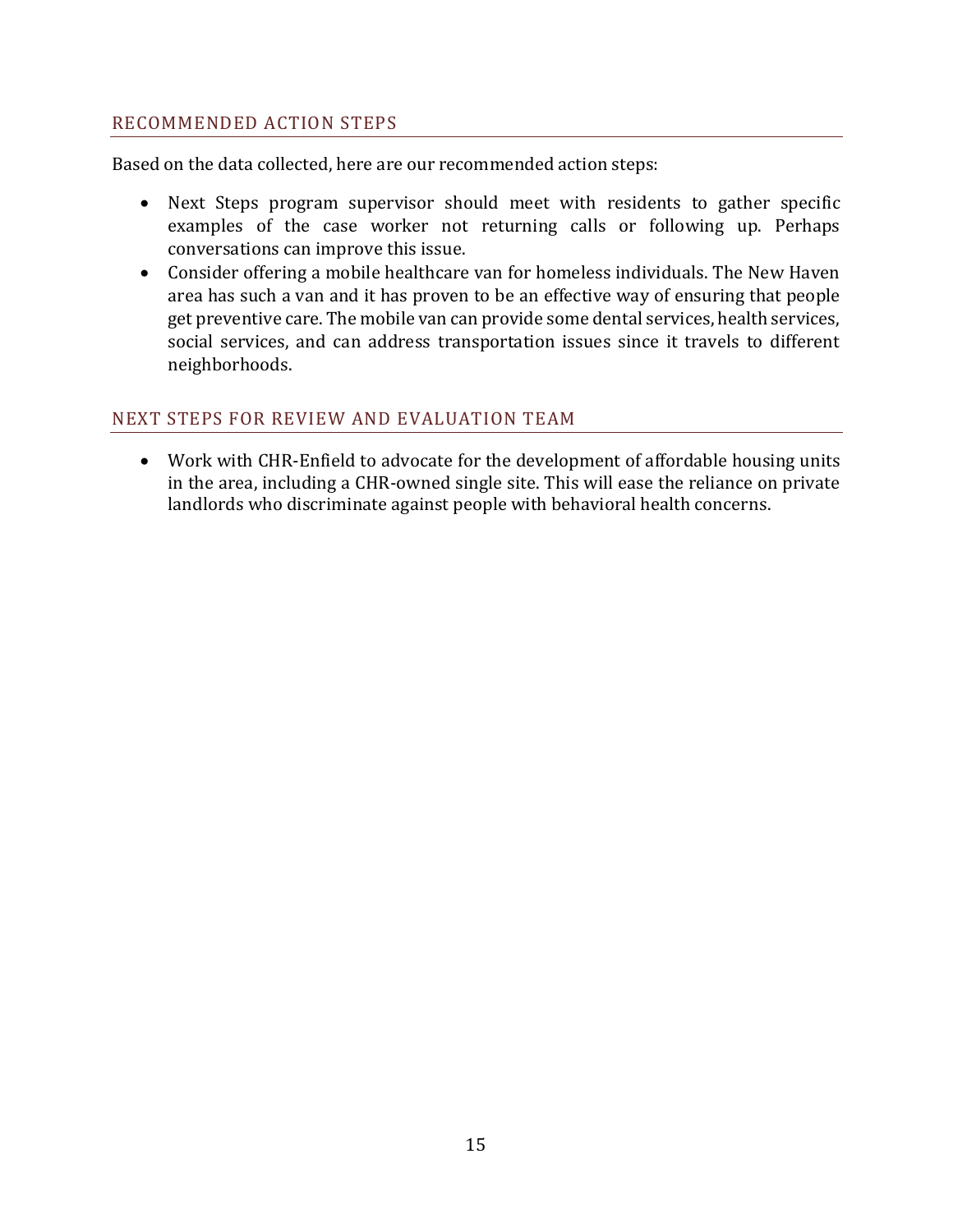## RECOMMENDED ACTION STEPS

Based on the data collected, here are our recommended action steps:

- Next Steps program supervisor should meet with residents to gather specific examples of the case worker not returning calls or following up. Perhaps conversations can improve this issue.
- Consider offering a mobile healthcare van for homeless individuals. The New Haven area has such a van and it has proven to be an effective way of ensuring that people get preventive care. The mobile van can provide some dental services, health services, social services, and can address transportation issues since it travels to different neighborhoods.

## NEXT STEPS FOR REVIEW AND EVALUATION TEAM

• Work with CHR-Enfield to advocate for the development of affordable housing units in the area, including a CHR-owned single site. This will ease the reliance on private landlords who discriminate against people with behavioral health concerns.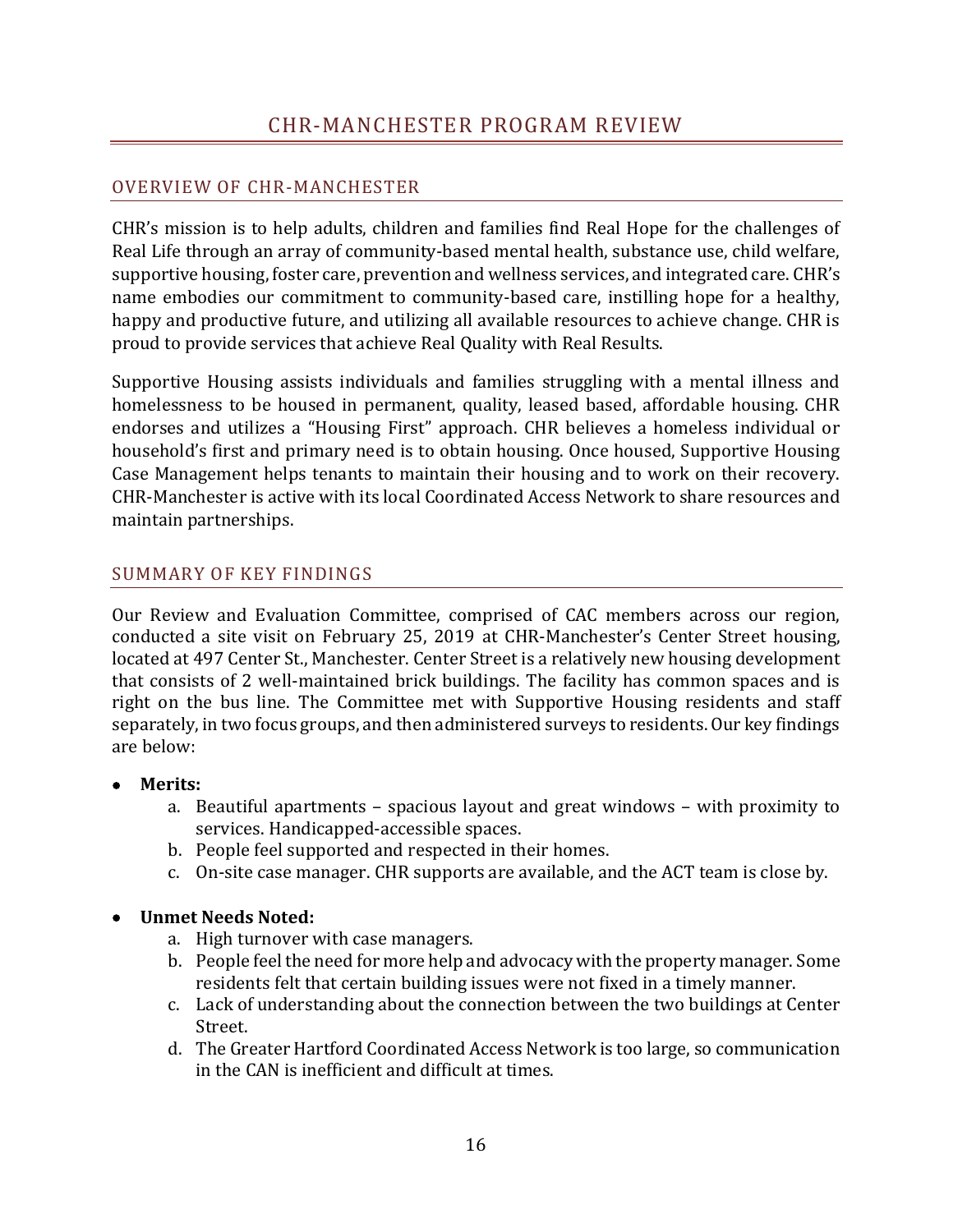## <span id="page-16-0"></span>OVERVIEW OF CHR-MANCHESTER

CHR's mission is to help adults, children and families find Real Hope for the challenges of Real Life through an array of community-based mental health, substance use, child welfare, supportive housing, foster care, prevention and wellness services, and integrated care. CHR's name embodies our commitment to community-based care, instilling hope for a healthy, happy and productive future, and utilizing all available resources to achieve change. CHR is proud to provide services that achieve Real Quality with Real Results.

Supportive Housing assists individuals and families struggling with a mental illness and homelessness to be housed in permanent, quality, leased based, affordable housing. CHR endorses and utilizes a "Housing First" approach. CHR believes a homeless individual or household's first and primary need is to obtain housing. Once housed, Supportive Housing Case Management helps tenants to maintain their housing and to work on their recovery. CHR-Manchester is active with its local Coordinated Access Network to share resources and maintain partnerships.

## SUMMARY OF KEY FINDINGS

Our Review and Evaluation Committee, comprised of CAC members across our region, conducted a site visit on February 25, 2019 at CHR-Manchester's Center Street housing, located at 497 Center St., Manchester. Center Street is a relatively new housing development that consists of 2 well-maintained brick buildings. The facility has common spaces and is right on the bus line. The Committee met with Supportive Housing residents and staff separately, in two focus groups, and then administered surveys to residents. Our key findings are below:

- **Merits:**
	- a. Beautiful apartments spacious layout and great windows with proximity to services. Handicapped-accessible spaces.
	- b. People feel supported and respected in their homes.
	- c. On-site case manager. CHR supports are available, and the ACT team is close by.

## • **Unmet Needs Noted:**

- a. High turnover with case managers.
- b. People feel the need for more help and advocacy with the property manager. Some residents felt that certain building issues were not fixed in a timely manner.
- c. Lack of understanding about the connection between the two buildings at Center Street.
- d. The Greater Hartford Coordinated Access Network is too large, so communication in the CAN is inefficient and difficult at times.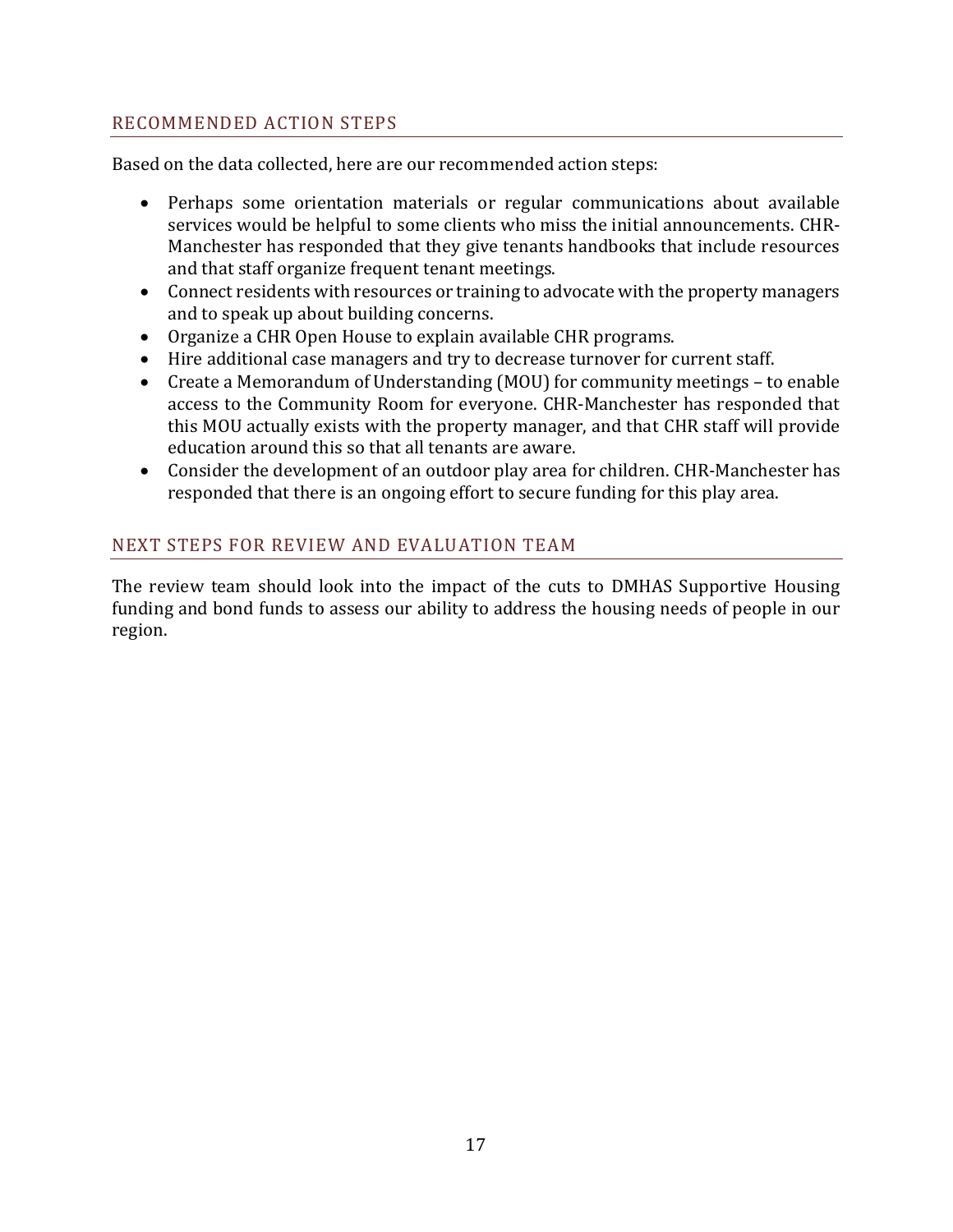## RECOMMENDED ACTION STEPS

Based on the data collected, here are our recommended action steps:

- Perhaps some orientation materials or regular communications about available services would be helpful to some clients who miss the initial announcements. CHR-Manchester has responded that they give tenants handbooks that include resources and that staff organize frequent tenant meetings.
- Connect residents with resources or training to advocate with the property managers and to speak up about building concerns.
- Organize a CHR Open House to explain available CHR programs.
- Hire additional case managers and try to decrease turnover for current staff.
- Create a Memorandum of Understanding (MOU) for community meetings to enable access to the Community Room for everyone. CHR-Manchester has responded that this MOU actually exists with the property manager, and that CHR staff will provide education around this so that all tenants are aware.
- Consider the development of an outdoor play area for children. CHR-Manchester has responded that there is an ongoing effort to secure funding for this play area.

## NEXT STEPS FOR REVIEW AND EVALUATION TEAM

The review team should look into the impact of the cuts to DMHAS Supportive Housing funding and bond funds to assess our ability to address the housing needs of people in our region.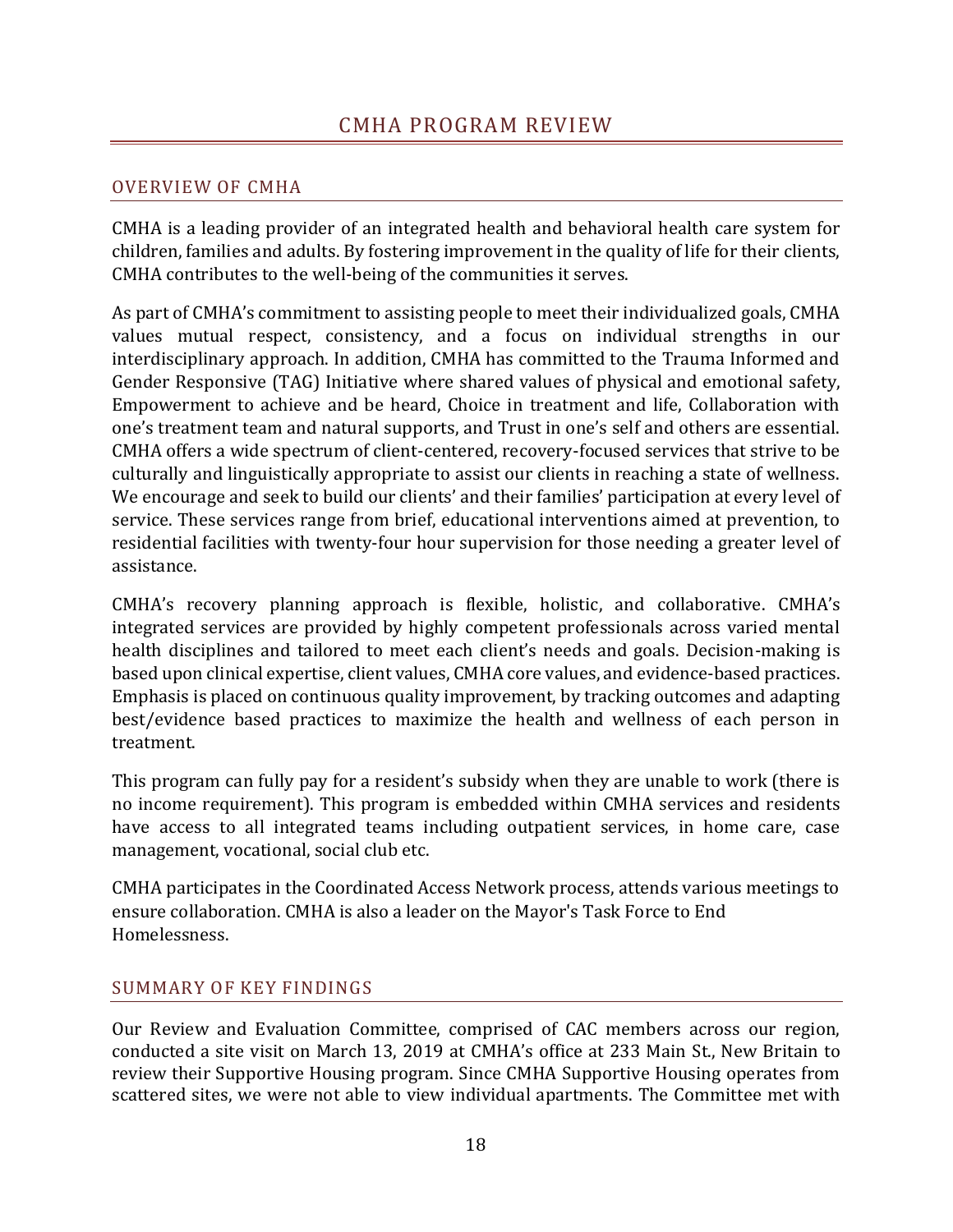## <span id="page-18-0"></span>OVERVIEW OF CMHA

CMHA is a leading provider of an integrated health and behavioral health care system for children, families and adults. By fostering improvement in the quality of life for their clients, CMHA contributes to the well-being of the communities it serves.

As part of CMHA's commitment to assisting people to meet their individualized goals, CMHA values mutual respect, consistency, and a focus on individual strengths in our interdisciplinary approach. In addition, CMHA has committed to the Trauma Informed and Gender Responsive (TAG) Initiative where shared values of physical and emotional safety, Empowerment to achieve and be heard, Choice in treatment and life, Collaboration with one's treatment team and natural supports, and Trust in one's self and others are essential. CMHA offers a wide spectrum of client-centered, recovery-focused services that strive to be culturally and linguistically appropriate to assist our clients in reaching a state of wellness. We encourage and seek to build our clients' and their families' participation at every level of service. These services range from brief, educational interventions aimed at prevention, to residential facilities with twenty-four hour supervision for those needing a greater level of assistance.

CMHA's recovery planning approach is flexible, holistic, and collaborative. CMHA's integrated services are provided by highly competent professionals across varied mental health disciplines and tailored to meet each client's needs and goals. Decision-making is based upon clinical expertise, client values, CMHA core values, and evidence-based practices. Emphasis is placed on continuous quality improvement, by tracking outcomes and adapting best/evidence based practices to maximize the health and wellness of each person in treatment.

This program can fully pay for a resident's subsidy when they are unable to work (there is no income requirement). This program is embedded within CMHA services and residents have access to all integrated teams including outpatient services, in home care, case management, vocational, social club etc.

CMHA participates in the Coordinated Access Network process, attends various meetings to ensure collaboration. CMHA is also a leader on the Mayor's Task Force to End Homelessness.

#### SUMMARY OF KEY FINDINGS

Our Review and Evaluation Committee, comprised of CAC members across our region, conducted a site visit on March 13, 2019 at CMHA's office at 233 Main St., New Britain to review their Supportive Housing program. Since CMHA Supportive Housing operates from scattered sites, we were not able to view individual apartments. The Committee met with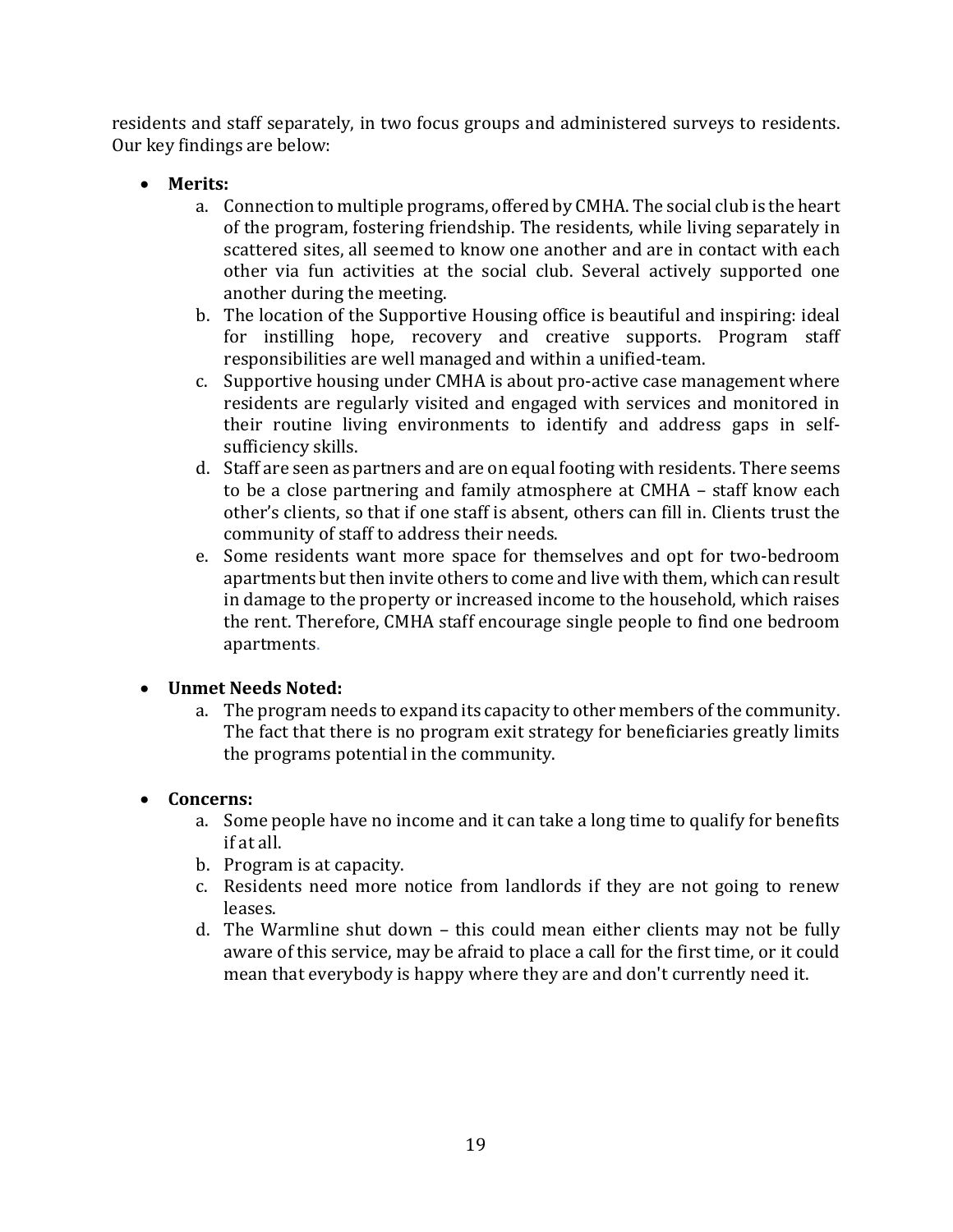residents and staff separately, in two focus groups and administered surveys to residents. Our key findings are below:

- **Merits:**
	- a. Connection to multiple programs, offered by CMHA. The social club is the heart of the program, fostering friendship. The residents, while living separately in scattered sites, all seemed to know one another and are in contact with each other via fun activities at the social club. Several actively supported one another during the meeting.
	- b. The location of the Supportive Housing office is beautiful and inspiring: ideal for instilling hope, recovery and creative supports. Program staff responsibilities are well managed and within a unified-team.
	- c. Supportive housing under CMHA is about pro-active case management where residents are regularly visited and engaged with services and monitored in their routine living environments to identify and address gaps in selfsufficiency skills.
	- d. Staff are seen as partners and are on equal footing with residents. There seems to be a close partnering and family atmosphere at CMHA – staff know each other's clients, so that if one staff is absent, others can fill in. Clients trust the community of staff to address their needs.
	- e. Some residents want more space for themselves and opt for two-bedroom apartments but then invite others to come and live with them, which can result in damage to the property or increased income to the household, which raises the rent. Therefore, CMHA staff encourage single people to find one bedroom apartments.

## • **Unmet Needs Noted:**

a. The program needs to expand its capacity to other members of the community. The fact that there is no program exit strategy for beneficiaries greatly limits the programs potential in the community.

#### • **Concerns:**

- a. Some people have no income and it can take a long time to qualify for benefits if at all.
- b. Program is at capacity.
- c. Residents need more notice from landlords if they are not going to renew leases.
- d. The Warmline shut down this could mean either clients may not be fully aware of this service, may be afraid to place a call for the first time, or it could mean that everybody is happy where they are and don't currently need it.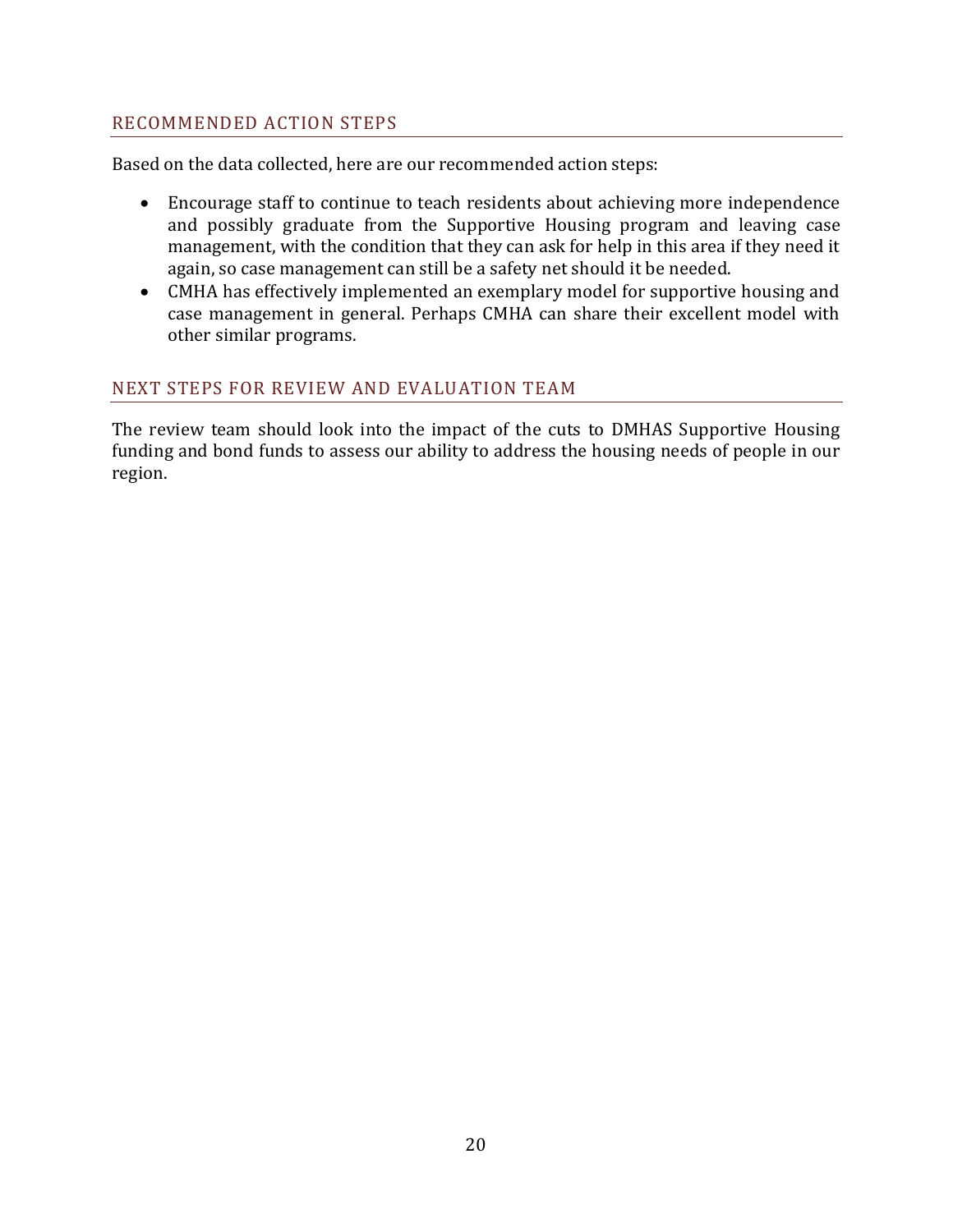## RECOMMENDED ACTION STEPS

Based on the data collected, here are our recommended action steps:

- Encourage staff to continue to teach residents about achieving more independence and possibly graduate from the Supportive Housing program and leaving case management, with the condition that they can ask for help in this area if they need it again, so case management can still be a safety net should it be needed.
- CMHA has effectively implemented an exemplary model for supportive housing and case management in general. Perhaps CMHA can share their excellent model with other similar programs.

## NEXT STEPS FOR REVIEW AND EVALUATION TEAM

The review team should look into the impact of the cuts to DMHAS Supportive Housing funding and bond funds to assess our ability to address the housing needs of people in our region.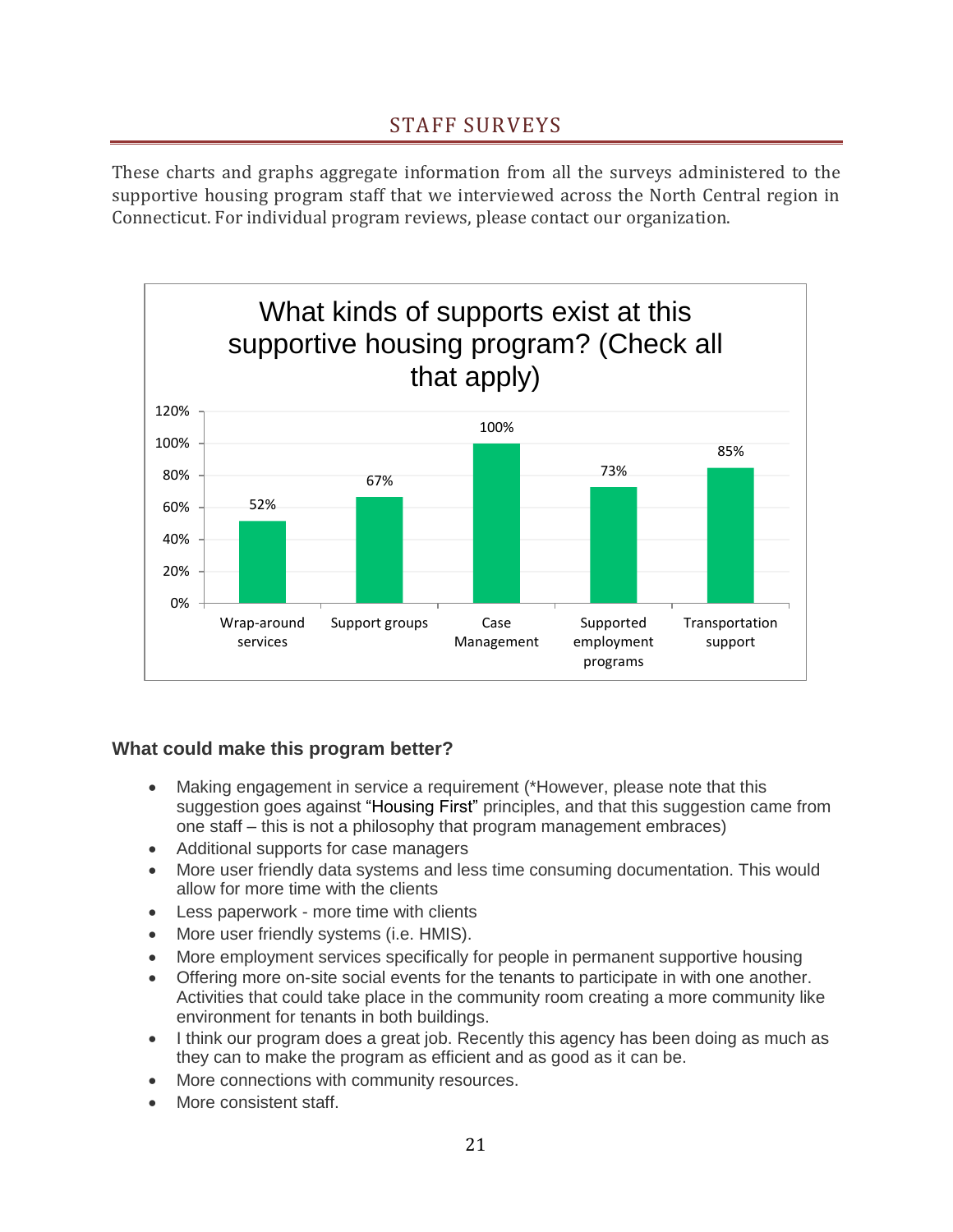# STAFF SURVEYS

<span id="page-21-0"></span>These charts and graphs aggregate information from all the surveys administered to the supportive housing program staff that we interviewed across the North Central region in Connecticut. For individual program reviews, please contact our organization.



## **What could make this program better?**

- Making engagement in service a requirement (\*However, please note that this suggestion goes against "Housing First" principles, and that this suggestion came from one staff – this is not a philosophy that program management embraces)
- Additional supports for case managers
- More user friendly data systems and less time consuming documentation. This would allow for more time with the clients
- Less paperwork more time with clients
- More user friendly systems (i.e. HMIS).
- More employment services specifically for people in permanent supportive housing
- Offering more on-site social events for the tenants to participate in with one another. Activities that could take place in the community room creating a more community like environment for tenants in both buildings.
- I think our program does a great job. Recently this agency has been doing as much as they can to make the program as efficient and as good as it can be.
- More connections with community resources.
- More consistent staff.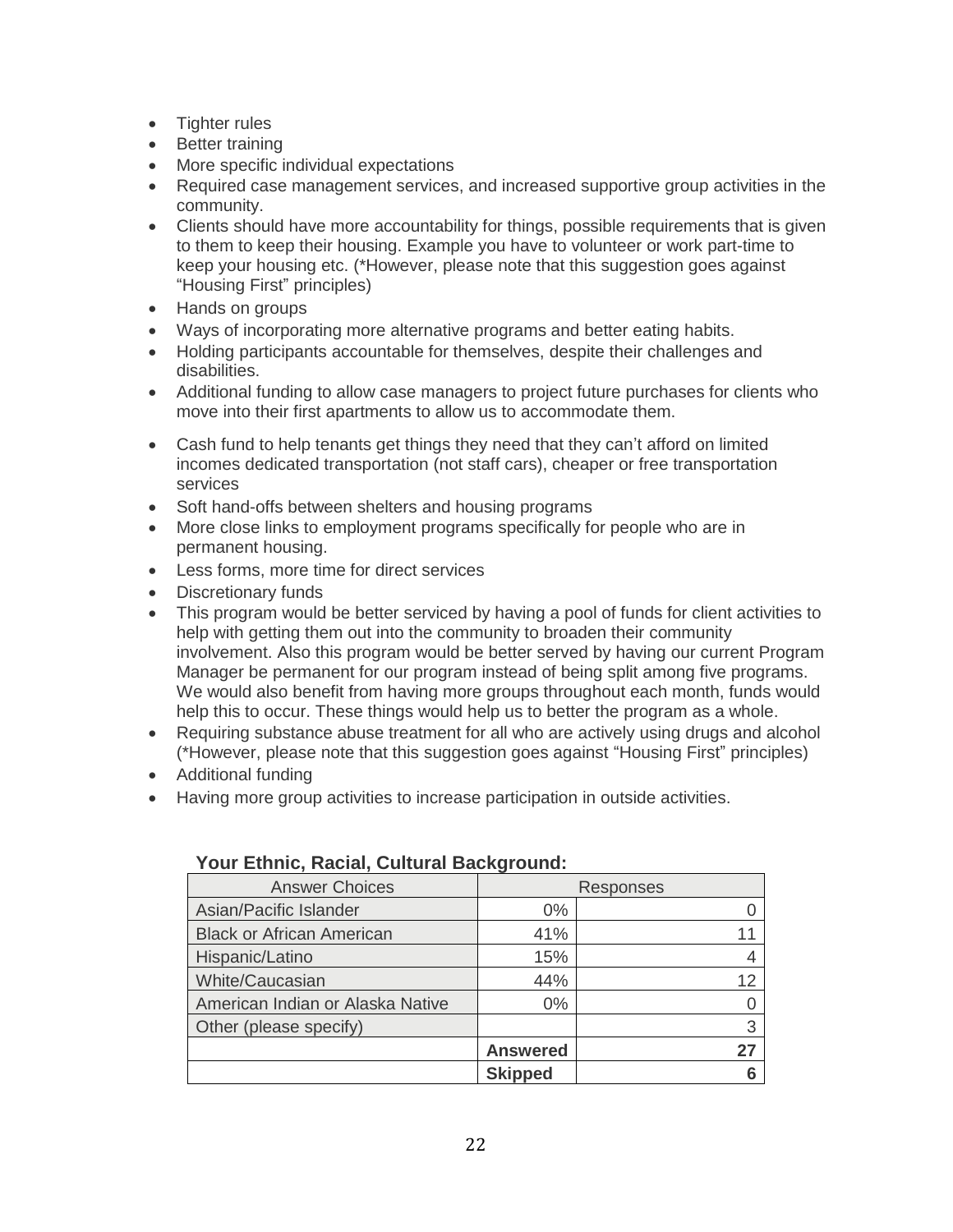- Tighter rules
- Better training
- More specific individual expectations
- Required case management services, and increased supportive group activities in the community.
- Clients should have more accountability for things, possible requirements that is given to them to keep their housing. Example you have to volunteer or work part-time to keep your housing etc. (\*However, please note that this suggestion goes against "Housing First" principles)
- Hands on groups
- Ways of incorporating more alternative programs and better eating habits.
- Holding participants accountable for themselves, despite their challenges and disabilities.
- Additional funding to allow case managers to project future purchases for clients who move into their first apartments to allow us to accommodate them.
- Cash fund to help tenants get things they need that they can't afford on limited incomes dedicated transportation (not staff cars), cheaper or free transportation services
- Soft hand-offs between shelters and housing programs
- More close links to employment programs specifically for people who are in permanent housing.
- Less forms, more time for direct services
- Discretionary funds
- This program would be better serviced by having a pool of funds for client activities to help with getting them out into the community to broaden their community involvement. Also this program would be better served by having our current Program Manager be permanent for our program instead of being split among five programs. We would also benefit from having more groups throughout each month, funds would help this to occur. These things would help us to better the program as a whole.
- Requiring substance abuse treatment for all who are actively using drugs and alcohol (\*However, please note that this suggestion goes against "Housing First" principles)
- Additional funding
- Having more group activities to increase participation in outside activities.

| <b>Answer Choices</b>            | Responses       |    |
|----------------------------------|-----------------|----|
| Asian/Pacific Islander           | $0\%$           |    |
| <b>Black or African American</b> | 41%             |    |
| Hispanic/Latino                  | 15%             |    |
| White/Caucasian                  | 44%             | 12 |
| American Indian or Alaska Native | $0\%$           |    |
| Other (please specify)           |                 | 3  |
|                                  | <b>Answered</b> | 27 |
|                                  | <b>Skipped</b>  |    |

#### **Your Ethnic, Racial, Cultural Background:**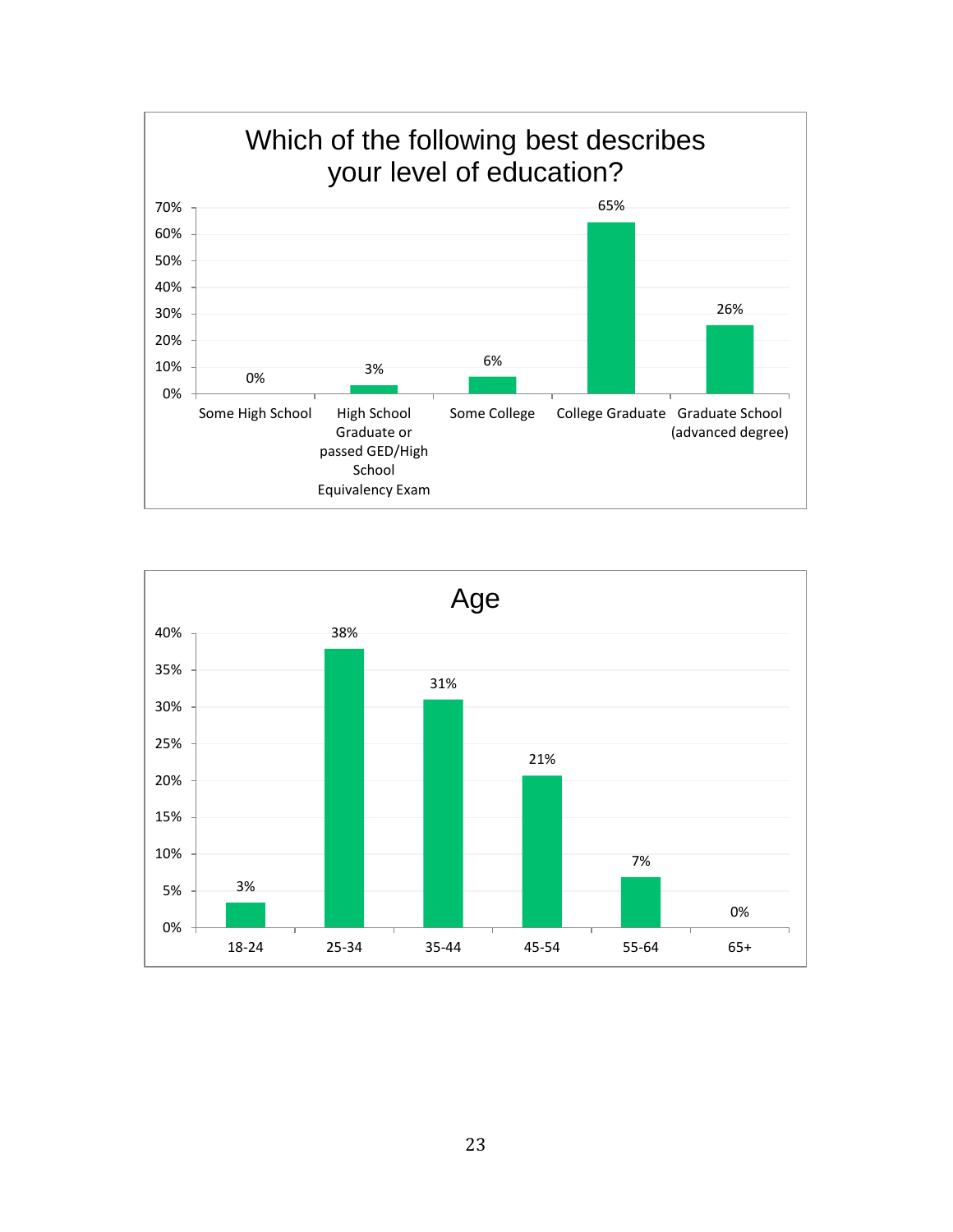

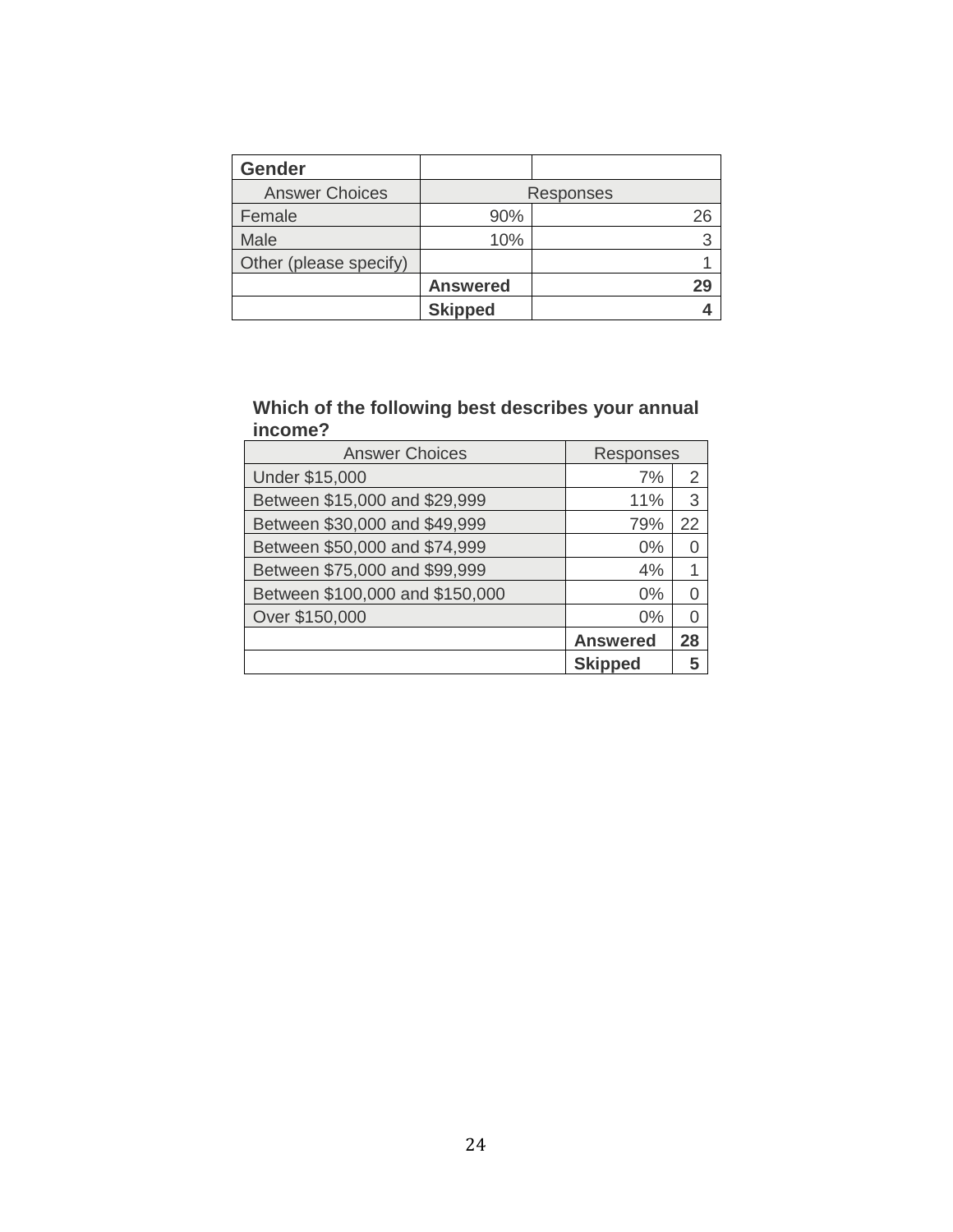| <b>Gender</b>          |                 |    |  |
|------------------------|-----------------|----|--|
| <b>Answer Choices</b>  | Responses       |    |  |
| Female                 | 90%             |    |  |
| Male                   | 10%             |    |  |
| Other (please specify) |                 |    |  |
|                        | <b>Answered</b> | 29 |  |
|                        | <b>Skipped</b>  |    |  |

#### **Which of the following best describes your annual income?**

| <b>Answer Choices</b>           | Responses       |    |
|---------------------------------|-----------------|----|
| <b>Under \$15,000</b>           | 7%              | 2  |
| Between \$15,000 and \$29,999   | 11%             | 3  |
| Between \$30,000 and \$49,999   | 79%             | 22 |
| Between \$50,000 and \$74,999   | 0%              |    |
| Between \$75,000 and \$99,999   | 4%              |    |
| Between \$100,000 and \$150,000 | $0\%$           |    |
| Over \$150,000                  | $0\%$           |    |
|                                 | <b>Answered</b> | 28 |
|                                 | <b>Skipped</b>  |    |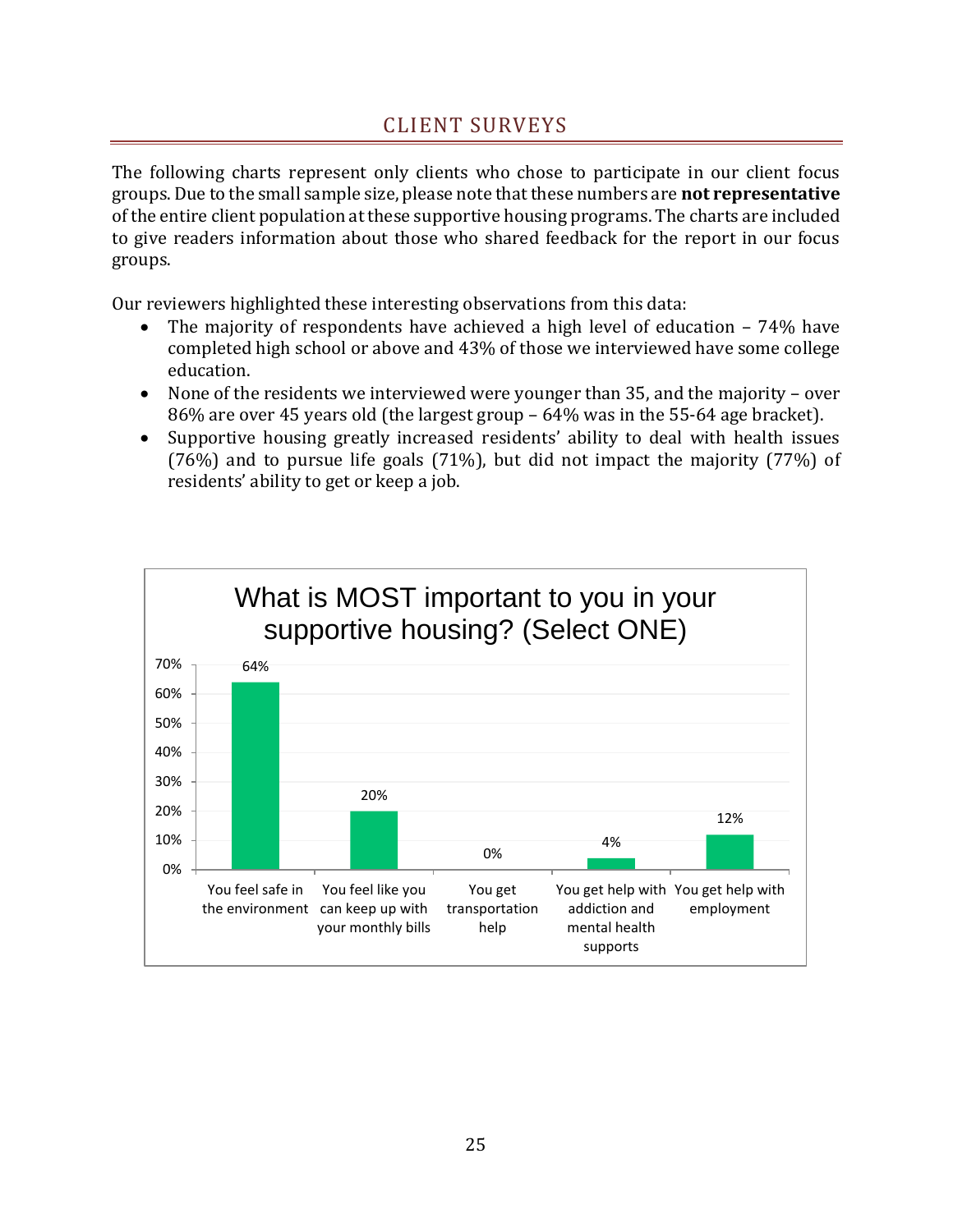## CLIENT SURVEYS

<span id="page-25-0"></span>The following charts represent only clients who chose to participate in our client focus groups. Due to the small sample size, please note that these numbers are **not representative** of the entire client population at these supportive housing programs. The charts are included to give readers information about those who shared feedback for the report in our focus groups.

Our reviewers highlighted these interesting observations from this data:

- The majority of respondents have achieved a high level of education  $-74%$  have completed high school or above and 43% of those we interviewed have some college education.
- None of the residents we interviewed were younger than 35, and the majority over 86% are over 45 years old (the largest group – 64% was in the 55-64 age bracket).
- Supportive housing greatly increased residents' ability to deal with health issues (76%) and to pursue life goals (71%), but did not impact the majority (77%) of residents' ability to get or keep a job.

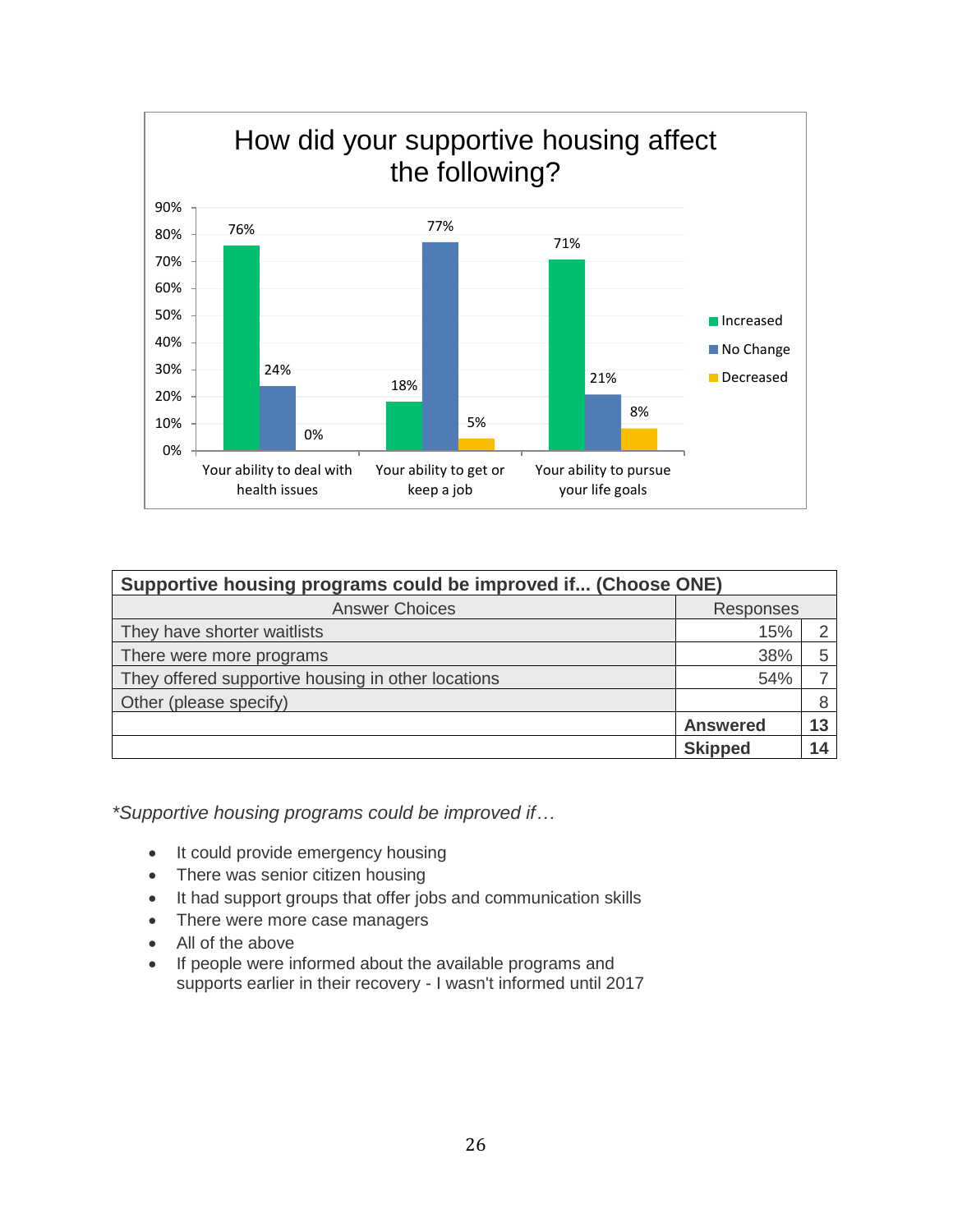

| Supportive housing programs could be improved if (Choose ONE) |                  |    |  |
|---------------------------------------------------------------|------------------|----|--|
| <b>Answer Choices</b>                                         | <b>Responses</b> |    |  |
| They have shorter waitlists                                   | 15%              | ⌒  |  |
| There were more programs                                      | 38%              | 5  |  |
| They offered supportive housing in other locations            | 54%              |    |  |
| Other (please specify)                                        |                  | 8  |  |
|                                                               | <b>Answered</b>  | 13 |  |
|                                                               | <b>Skipped</b>   | 14 |  |

*\*Supportive housing programs could be improved if…*

- It could provide emergency housing
- There was senior citizen housing
- It had support groups that offer jobs and communication skills
- There were more case managers
- All of the above
- If people were informed about the available programs and supports earlier in their recovery - I wasn't informed until 2017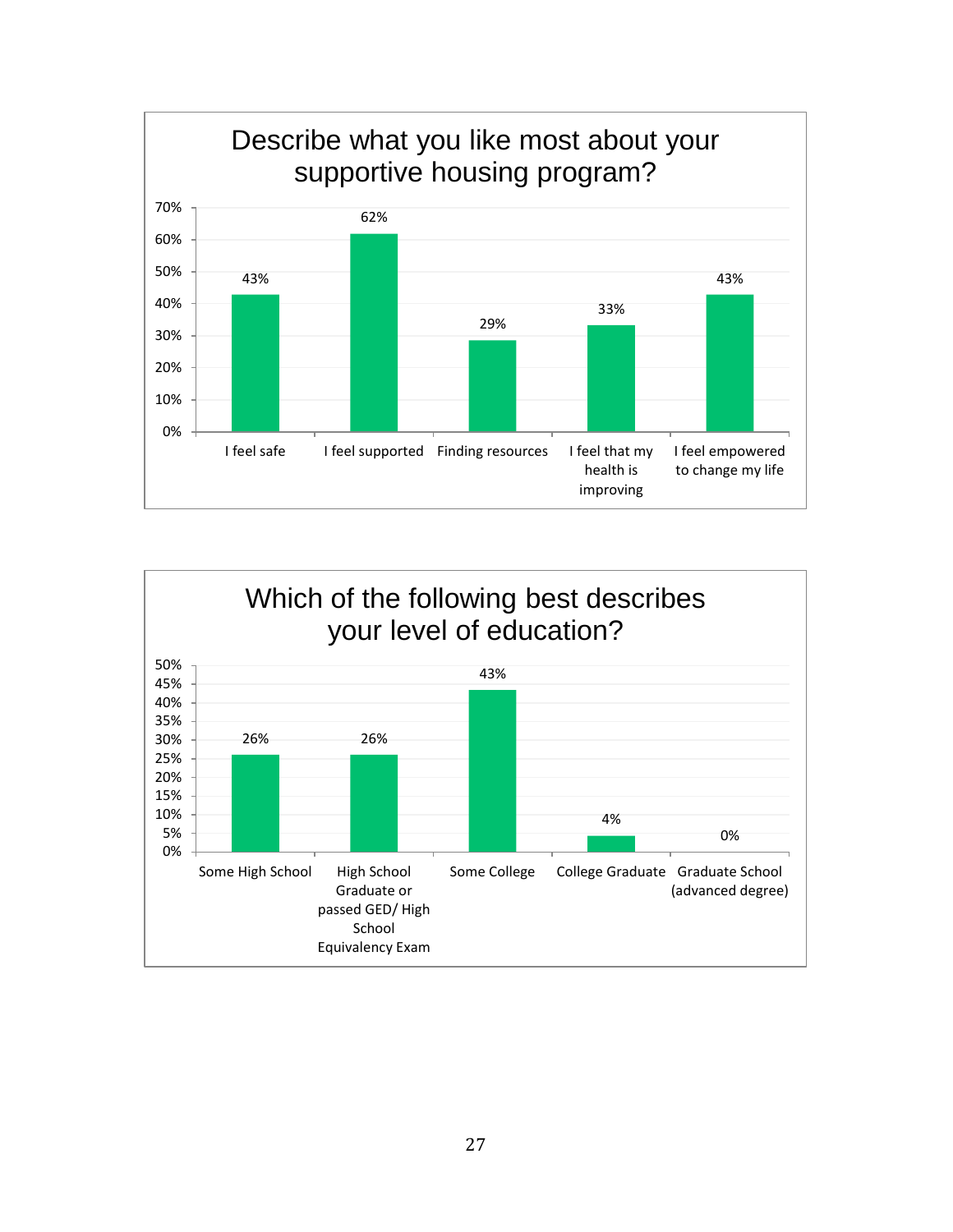

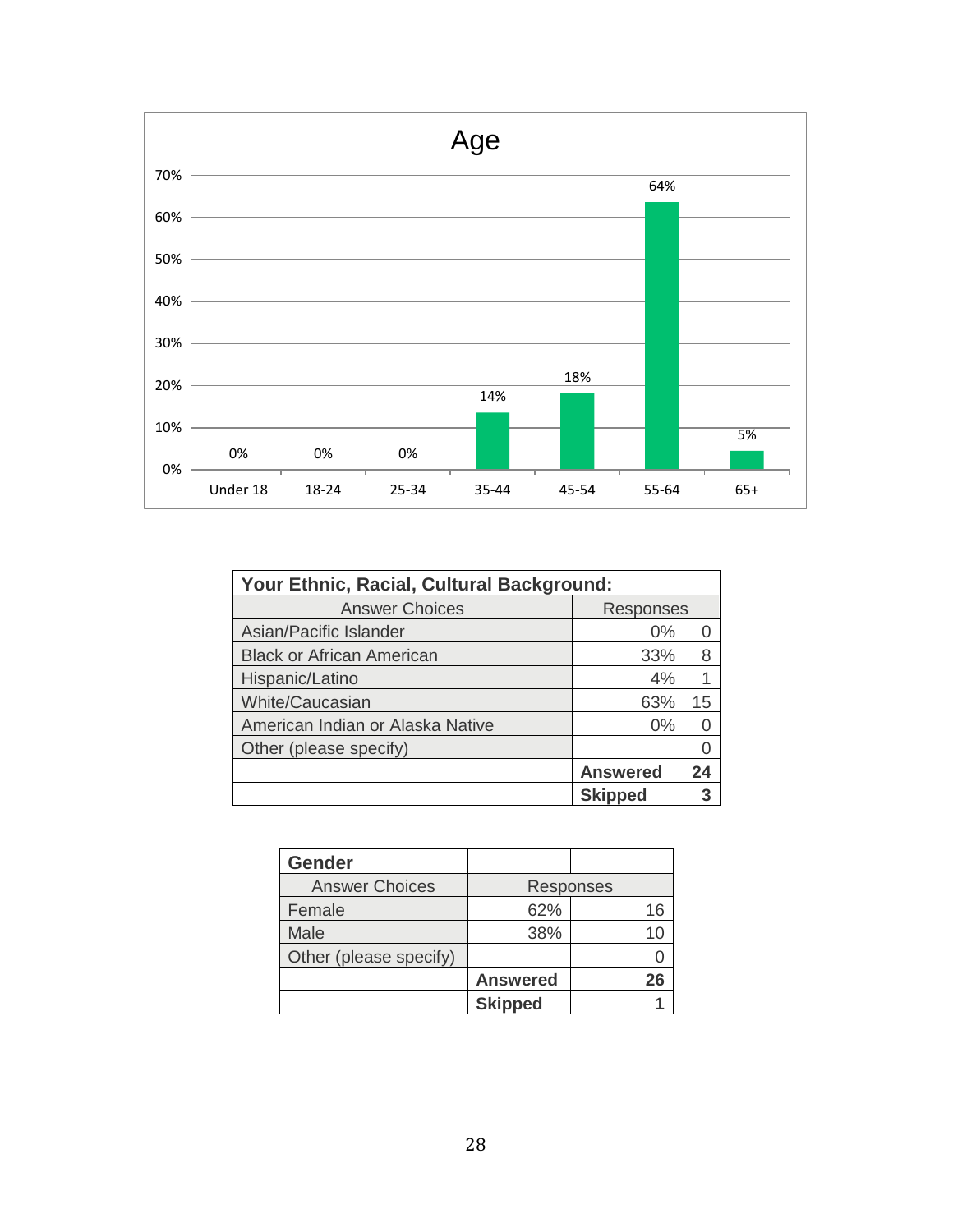

| Your Ethnic, Racial, Cultural Background: |                 |    |  |
|-------------------------------------------|-----------------|----|--|
| <b>Answer Choices</b>                     | Responses       |    |  |
| Asian/Pacific Islander                    | $0\%$           |    |  |
| <b>Black or African American</b>          | 33%             | 8  |  |
| Hispanic/Latino                           | 4%              |    |  |
| <b>White/Caucasian</b>                    | 63%             | 15 |  |
| American Indian or Alaska Native          | $0\%$           |    |  |
| Other (please specify)                    |                 |    |  |
|                                           | <b>Answered</b> | 24 |  |
|                                           | <b>Skipped</b>  |    |  |

| <b>Gender</b>          |                 |    |
|------------------------|-----------------|----|
| <b>Answer Choices</b>  | Responses       |    |
| Female                 | 62%             | 16 |
| Male                   | 38%             |    |
| Other (please specify) |                 |    |
|                        | <b>Answered</b> | 26 |
|                        | <b>Skipped</b>  |    |